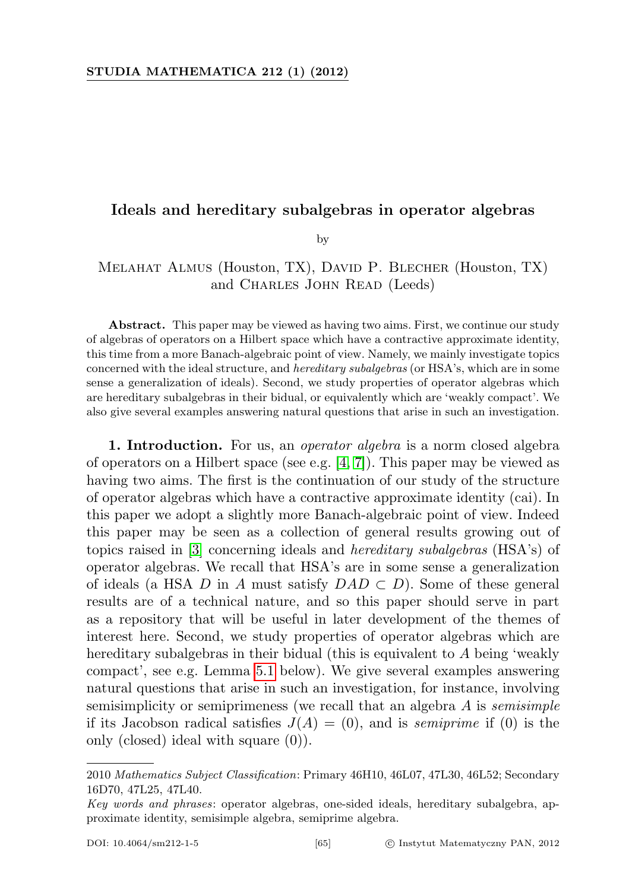## Ideals and hereditary subalgebras in operator algebras

by

## Melahat Almus (Houston, TX), David P. Blecher (Houston, TX) and CHARLES JOHN READ (Leeds)

Abstract. This paper may be viewed as having two aims. First, we continue our study of algebras of operators on a Hilbert space which have a contractive approximate identity, this time from a more Banach-algebraic point of view. Namely, we mainly investigate topics concerned with the ideal structure, and hereditary subalgebras (or HSA's, which are in some sense a generalization of ideals). Second, we study properties of operator algebras which are hereditary subalgebras in their bidual, or equivalently which are 'weakly compact'. We also give several examples answering natural questions that arise in such an investigation.

1. Introduction. For us, an *operator algebra* is a norm closed algebra of operators on a Hilbert space (see e.g. [\[4,](#page-27-0) [7\]](#page-27-1)). This paper may be viewed as having two aims. The first is the continuation of our study of the structure of operator algebras which have a contractive approximate identity (cai). In this paper we adopt a slightly more Banach-algebraic point of view. Indeed this paper may be seen as a collection of general results growing out of topics raised in [\[3\]](#page-27-2) concerning ideals and hereditary subalgebras (HSA's) of operator algebras. We recall that HSA's are in some sense a generalization of ideals (a HSA D in A must satisfy  $DAD \subset D$ ). Some of these general results are of a technical nature, and so this paper should serve in part as a repository that will be useful in later development of the themes of interest here. Second, we study properties of operator algebras which are hereditary subalgebras in their bidual (this is equivalent to A being 'weakly compact', see e.g. Lemma [5.1](#page-8-0) below). We give several examples answering natural questions that arise in such an investigation, for instance, involving semisimplicity or semiprimeness (we recall that an algebra  $A$  is *semisimple* if its Jacobson radical satisfies  $J(A) = (0)$ , and is *semiprime* if (0) is the only (closed) ideal with square (0)).

<sup>2010</sup> Mathematics Subject Classification: Primary 46H10, 46L07, 47L30, 46L52; Secondary 16D70, 47L25, 47L40.

Key words and phrases: operator algebras, one-sided ideals, hereditary subalgebra, approximate identity, semisimple algebra, semiprime algebra.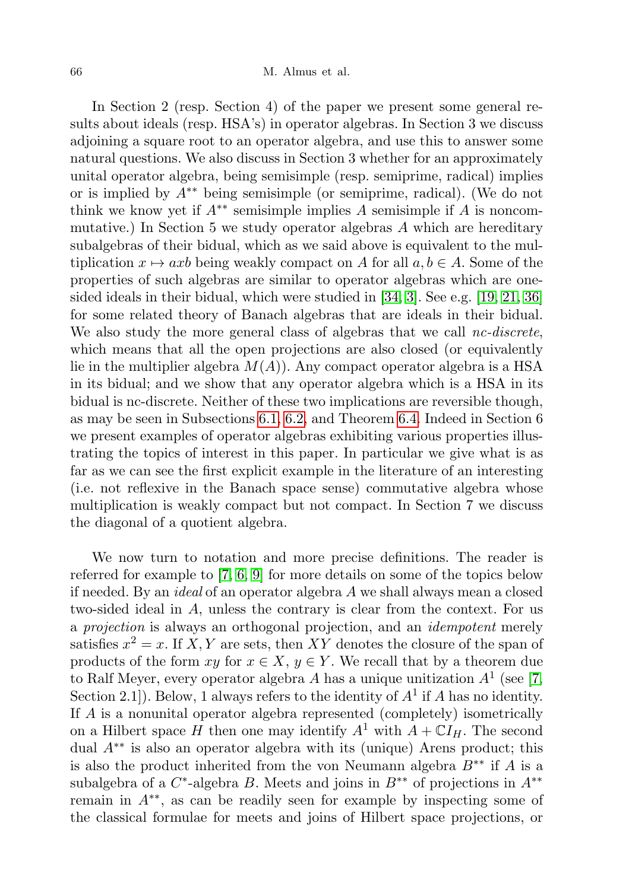In Section 2 (resp. Section 4) of the paper we present some general results about ideals (resp. HSA's) in operator algebras. In Section 3 we discuss adjoining a square root to an operator algebra, and use this to answer some natural questions. We also discuss in Section 3 whether for an approximately unital operator algebra, being semisimple (resp. semiprime, radical) implies or is implied by  $A^{**}$  being semisimple (or semiprime, radical). (We do not think we know yet if  $A^{**}$  semisimple implies A semisimple if A is noncommutative.) In Section 5 we study operator algebras  $A$  which are hereditary subalgebras of their bidual, which as we said above is equivalent to the multiplication  $x \mapsto axb$  being weakly compact on A for all  $a, b \in A$ . Some of the properties of such algebras are similar to operator algebras which are onesided ideals in their bidual, which were studied in [\[34,](#page-28-0) [3\]](#page-27-2). See e.g. [\[19,](#page-27-3) [21,](#page-28-1) [36\]](#page-28-2) for some related theory of Banach algebras that are ideals in their bidual. We also study the more general class of algebras that we call  $nc\text{-}discrete$ , which means that all the open projections are also closed (or equivalently lie in the multiplier algebra  $M(A)$ . Any compact operator algebra is a HSA in its bidual; and we show that any operator algebra which is a HSA in its bidual is nc-discrete. Neither of these two implications are reversible though, as may be seen in Subsections [6.1,](#page-16-0) [6.2,](#page-16-1) and Theorem [6.4.](#page-21-0) Indeed in Section 6 we present examples of operator algebras exhibiting various properties illustrating the topics of interest in this paper. In particular we give what is as far as we can see the first explicit example in the literature of an interesting (i.e. not reflexive in the Banach space sense) commutative algebra whose multiplication is weakly compact but not compact. In Section 7 we discuss the diagonal of a quotient algebra.

We now turn to notation and more precise definitions. The reader is referred for example to [\[7,](#page-27-1) [6,](#page-27-4) [9\]](#page-27-5) for more details on some of the topics below if needed. By an ideal of an operator algebra A we shall always mean a closed two-sided ideal in A, unless the contrary is clear from the context. For us a projection is always an orthogonal projection, and an idempotent merely satisfies  $x^2 = x$ . If X, Y are sets, then XY denotes the closure of the span of products of the form  $xy$  for  $x \in X$ ,  $y \in Y$ . We recall that by a theorem due to Ralf Meyer, every operator algebra A has a unique unitization  $A<sup>1</sup>$  (see [\[7,](#page-27-1) Section 2.1]). Below, 1 always refers to the identity of  $A<sup>1</sup>$  if A has no identity. If A is a nonunital operator algebra represented (completely) isometrically on a Hilbert space H then one may identify  $A^1$  with  $A + \mathbb{C}I_H$ . The second dual A∗∗ is also an operator algebra with its (unique) Arens product; this is also the product inherited from the von Neumann algebra  $B^{**}$  if A is a subalgebra of a  $C^*$ -algebra B. Meets and joins in  $B^{**}$  of projections in  $A^{**}$ remain in A∗∗, as can be readily seen for example by inspecting some of the classical formulae for meets and joins of Hilbert space projections, or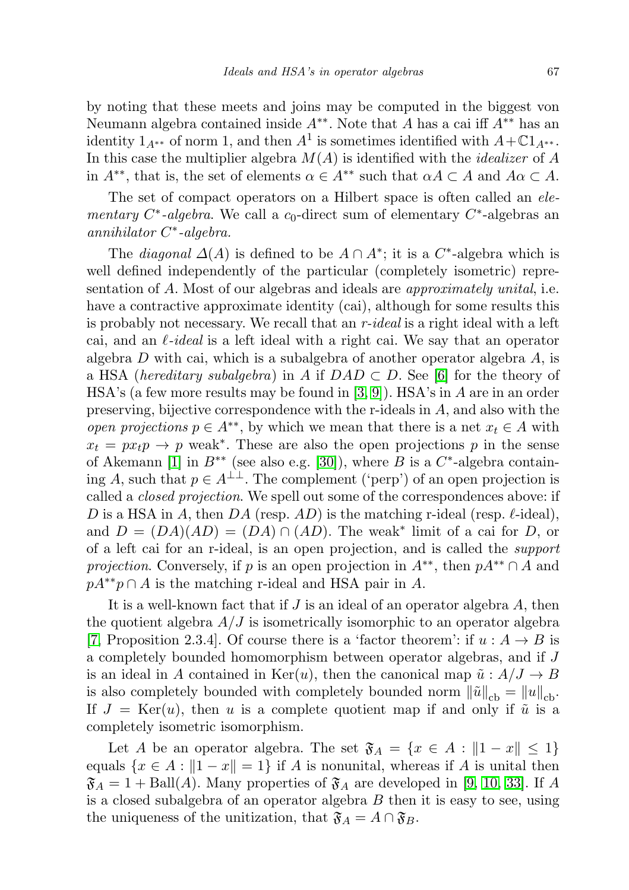by noting that these meets and joins may be computed in the biggest von Neumann algebra contained inside  $A^{**}$ . Note that A has a cai iff  $A^{**}$  has an identity  $1_{A^{**}}$  of norm 1, and then  $A^1$  is sometimes identified with  $A+\mathbb{C}1_{A^{**}}$ . In this case the multiplier algebra  $M(A)$  is identified with the *idealizer* of A in  $A^{**}$ , that is, the set of elements  $\alpha \in A^{**}$  such that  $\alpha A \subset A$  and  $A\alpha \subset A$ .

The set of compact operators on a Hilbert space is often called an elementary  $C^*$ -algebra. We call a  $c_0$ -direct sum of elementary  $C^*$ -algebras an annihilator C<sup>\*</sup>-algebra.

The *diagonal*  $\Delta(A)$  is defined to be  $A \cap A^*$ ; it is a  $C^*$ -algebra which is well defined independently of the particular (completely isometric) representation of A. Most of our algebras and ideals are *approximately unital*, i.e. have a contractive approximate identity (cai), although for some results this is probably not necessary. We recall that an r-ideal is a right ideal with a left cai, and an  $\ell$ -ideal is a left ideal with a right cai. We say that an operator algebra  $D$  with cai, which is a subalgebra of another operator algebra  $A$ , is a HSA (hereditary subalgebra) in A if  $DAD \subset D$ . See [\[6\]](#page-27-4) for the theory of HSA's (a few more results may be found in  $(3, 9)$ ). HSA's in A are in an order preserving, bijective correspondence with the r-ideals in A, and also with the open projections  $p \in A^{**}$ , by which we mean that there is a net  $x_t \in A$  with  $x_t = px_t p \rightarrow p$  weak<sup>\*</sup>. These are also the open projections p in the sense of Akemann [\[1\]](#page-27-6) in  $B^{**}$  (see also e.g. [\[30\]](#page-28-3)), where B is a  $C^*$ -algebra containing A, such that  $p \in A^{\perp\perp}$ . The complement ('perp') of an open projection is called a closed projection. We spell out some of the correspondences above: if D is a HSA in A, then DA (resp. AD) is the matching r-ideal (resp.  $\ell$ -ideal), and  $D = (DA)(AD) = (DA) \cap (AD)$ . The weak<sup>\*</sup> limit of a cai for D, or of a left cai for an r-ideal, is an open projection, and is called the support *projection.* Conversely, if p is an open projection in  $A^{**}$ , then  $pA^{**} \cap A$  and  $pA^{**}p \cap A$  is the matching r-ideal and HSA pair in A.

It is a well-known fact that if  $J$  is an ideal of an operator algebra  $A$ , then the quotient algebra  $A/J$  is isometrically isomorphic to an operator algebra [\[7,](#page-27-1) Proposition 2.3.4]. Of course there is a 'factor theorem': if  $u : A \rightarrow B$  is a completely bounded homomorphism between operator algebras, and if J is an ideal in A contained in Ker(u), then the canonical map  $\tilde{u}: A/J \to B$ is also completely bounded with completely bounded norm  $\|\tilde{u}\|_{cb} = \|u\|_{cb}$ . If  $J = \text{Ker}(u)$ , then u is a complete quotient map if and only if  $\tilde{u}$  is a completely isometric isomorphism.

Let A be an operator algebra. The set  $\mathfrak{F}_A = \{x \in A : ||1 - x|| \leq 1\}$ equals  $\{x \in A : ||1 - x|| = 1\}$  if A is nonunital, whereas if A is unital then  $\mathfrak{F}_A = 1 + \text{Ball}(A)$ . Many properties of  $\mathfrak{F}_A$  are developed in [\[9,](#page-27-5) [10,](#page-27-7) [33\]](#page-28-4). If A is a closed subalgebra of an operator algebra  $B$  then it is easy to see, using the uniqueness of the unitization, that  $\mathfrak{F}_A = A \cap \mathfrak{F}_B$ .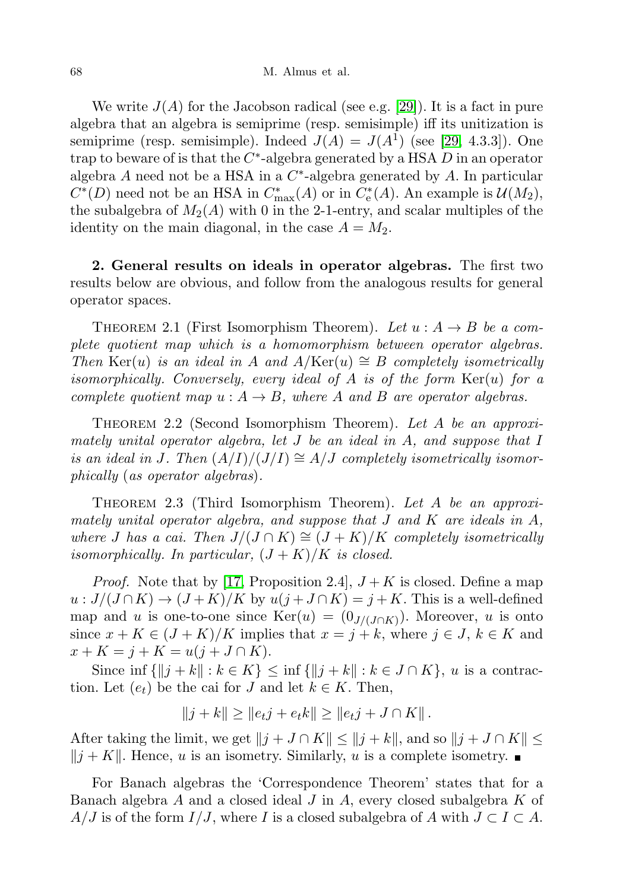We write  $J(A)$  for the Jacobson radical (see e.g. [\[29\]](#page-28-5)). It is a fact in pure algebra that an algebra is semiprime (resp. semisimple) iff its unitization is semiprime (resp. semisimple). Indeed  $J(A) = J(A^1)$  (see [\[29,](#page-28-5) 4.3.3]). One trap to beware of is that the  $C^*$ -algebra generated by a HSA  $D$  in an operator algebra  $A$  need not be a HSA in a  $C^*$ -algebra generated by  $A$ . In particular  $C^*(D)$  need not be an HSA in  $C^*_{\text{max}}(A)$  or in  $C^*_e(A)$ . An example is  $\mathcal{U}(M_2)$ , the subalgebra of  $M_2(A)$  with 0 in the 2-1-entry, and scalar multiples of the identity on the main diagonal, in the case  $A = M_2$ .

2. General results on ideals in operator algebras. The first two results below are obvious, and follow from the analogous results for general operator spaces.

THEOREM 2.1 (First Isomorphism Theorem). Let  $u : A \rightarrow B$  be a complete quotient map which is a homomorphism between operator algebras. Then Ker(u) is an ideal in A and  $A/\text{Ker}(u) \cong B$  completely isometrically isomorphically. Conversely, every ideal of A is of the form  $Ker(u)$  for a complete quotient map  $u : A \to B$ , where A and B are operator algebras.

Theorem 2.2 (Second Isomorphism Theorem). Let A be an approximately unital operator algebra, let J be an ideal in A, and suppose that I is an ideal in J. Then  $(A/I)/(J/I) \cong A/J$  completely isometrically isomorphically (as operator algebras).

THEOREM 2.3 (Third Isomorphism Theorem). Let A be an approximately unital operator algebra, and suppose that  $J$  and  $K$  are ideals in  $A$ , where J has a cai. Then  $J/(J \cap K) \cong (J + K)/K$  completely isometrically isomorphically. In particular,  $(J+K)/K$  is closed.

*Proof.* Note that by [\[17,](#page-27-8) Proposition 2.4],  $J + K$  is closed. Define a map  $u: J/(J\cap K) \to (J+K)/K$  by  $u(j+J\cap K) = j+K$ . This is a well-defined map and u is one-to-one since  $\text{Ker}(u) = (0_{J/(J \cap K)})$ . Moreover, u is onto since  $x + K \in (J + K)/K$  implies that  $x = j + k$ , where  $j \in J$ ,  $k \in K$  and  $x + K = j + K = u(j + J \cap K).$ 

Since inf  $\{\|j + k\| : k \in K\} \le \inf \{\|j + k\| : k \in J \cap K\}$ , u is a contraction. Let  $(e_t)$  be the cai for J and let  $k \in K$ . Then,

$$
||j + k|| \ge ||e_t j + e_t k|| \ge ||e_t j + J \cap K||.
$$

After taking the limit, we get  $||j + J \cap K|| \le ||j + k||$ , and so  $||j + J \cap K|| \le$  $||j + K||$ . Hence, u is an isometry. Similarly, u is a complete isometry.

For Banach algebras the 'Correspondence Theorem' states that for a Banach algebra  $A$  and a closed ideal  $J$  in  $A$ , every closed subalgebra  $K$  of  $A/J$  is of the form  $I/J$ , where I is a closed subalgebra of A with  $J \subset I \subset A$ .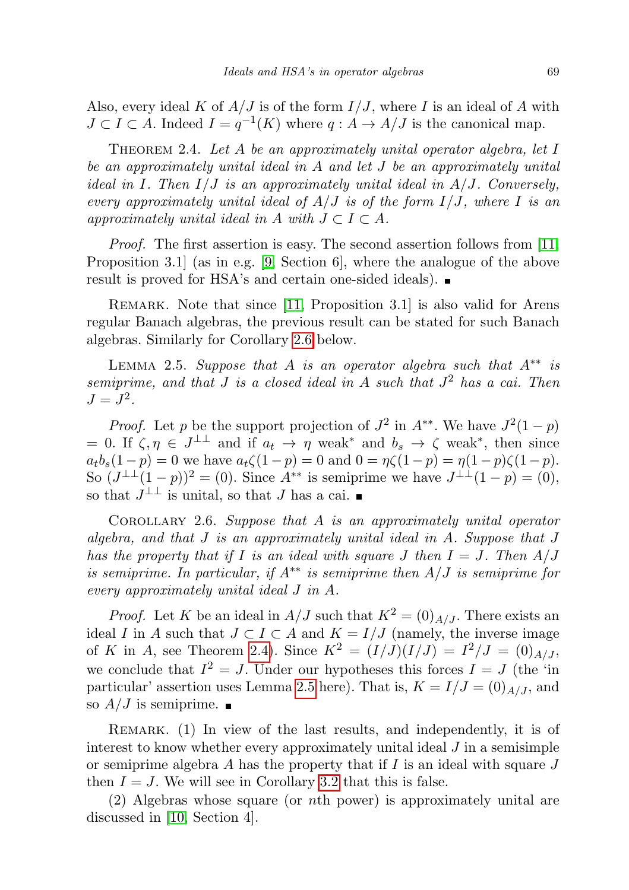Also, every ideal K of  $A/J$  is of the form  $I/J$ , where I is an ideal of A with  $J \subset I \subset A$ . Indeed  $I = q^{-1}(K)$  where  $q : A \to A/J$  is the canonical map.

<span id="page-4-1"></span>THEOREM 2.4. Let  $A$  be an approximately unital operator algebra, let  $I$ be an approximately unital ideal in A and let J be an approximately unital ideal in I. Then  $I/J$  is an approximately unital ideal in  $A/J$ . Conversely, every approximately unital ideal of  $A/J$  is of the form  $I/J$ , where I is an approximately unital ideal in A with  $J \subset I \subset A$ .

Proof. The first assertion is easy. The second assertion follows from [\[11,](#page-27-9) Proposition 3.1] (as in e.g. [\[9,](#page-27-5) Section 6], where the analogue of the above result is proved for HSA's and certain one-sided ideals).

REMARK. Note that since [\[11,](#page-27-9) Proposition 3.1] is also valid for Arens regular Banach algebras, the previous result can be stated for such Banach algebras. Similarly for Corollary [2.6](#page-4-0) below.

<span id="page-4-2"></span>LEMMA 2.5. Suppose that A is an operator algebra such that  $A^{**}$  is semiprime, and that  $J$  is a closed ideal in  $A$  such that  $J^2$  has a cai. Then  $J = J^2$ .

*Proof.* Let p be the support projection of  $J^2$  in  $A^{**}$ . We have  $J^2(1-p)$  $= 0$ . If  $\zeta, \eta \in J^{\perp \perp}$  and if  $a_t \to \eta$  weak<sup>\*</sup> and  $b_s \to \zeta$  weak<sup>\*</sup>, then since  $a_t b_s(1-p) = 0$  we have  $a_t \zeta(1-p) = 0$  and  $0 = \eta \zeta(1-p) = \eta(1-p)\zeta(1-p)$ . So  $(J^{\perp\perp}(1-p))^2 = (0)$ . Since  $A^{**}$  is semiprime we have  $J^{\perp\perp}(1-p) = (0)$ , so that  $J^{\perp \perp}$  is unital, so that J has a cai.

<span id="page-4-0"></span>COROLLARY 2.6. Suppose that  $A$  is an approximately unital operator algebra, and that  $J$  is an approximately unital ideal in  $A$ . Suppose that  $J$ has the property that if I is an ideal with square J then  $I = J$ . Then  $A/J$ is semiprime. In particular, if  $A^{**}$  is semiprime then  $A/J$  is semiprime for every approximately unital ideal J in A.

*Proof.* Let K be an ideal in  $A/J$  such that  $K^2 = (0)_{A/J}$ . There exists an ideal I in A such that  $J \subset I \subset A$  and  $K = I/J$  (namely, the inverse image of K in A, see Theorem [2.4\)](#page-4-1). Since  $K^2 = (I/J)(I/J) = I^2/J = (0)_{A/J}$ , we conclude that  $I^2 = J$ . Under our hypotheses this forces  $I = J$  (the 'in particular' assertion uses Lemma [2.5](#page-4-2) here). That is,  $K = I/J = (0)_{A/J}$ , and so  $A/J$  is semiprime.

REMARK. (1) In view of the last results, and independently, it is of interest to know whether every approximately unital ideal  $J$  in a semisimple or semiprime algebra A has the property that if I is an ideal with square  $J$ then  $I = J$ . We will see in Corollary [3.2](#page-6-0) that this is false.

(2) Algebras whose square (or nth power) is approximately unital are discussed in [\[10,](#page-27-7) Section 4].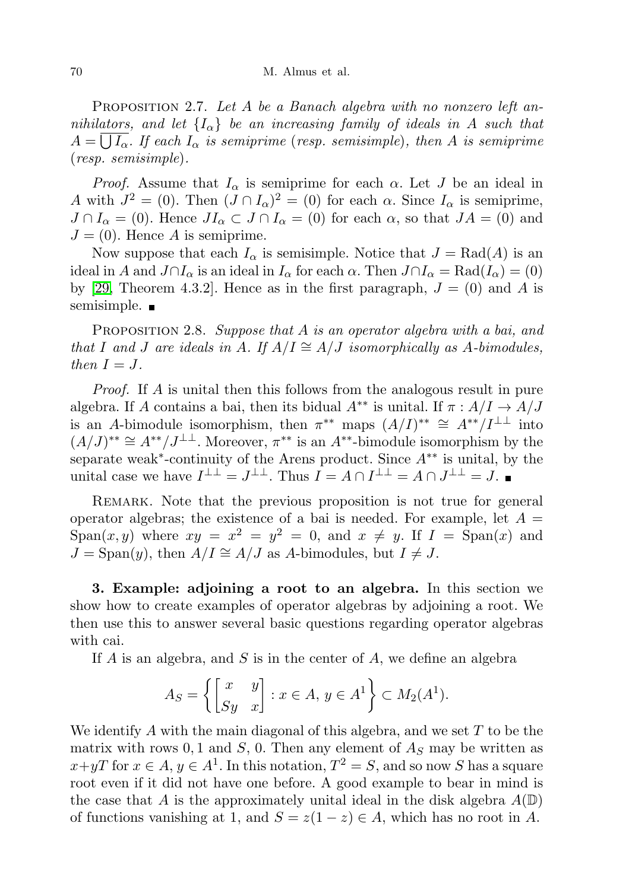PROPOSITION 2.7. Let A be a Banach algebra with no nonzero left annihilators, and let  ${I_{\alpha}}$  be an increasing family of ideals in A such that  $A=\bigcup I_\alpha$ . If each  $I_\alpha$  is semiprime (resp. semisimple), then A is semiprime (resp. semisimple).

*Proof.* Assume that  $I_{\alpha}$  is semiprime for each  $\alpha$ . Let J be an ideal in A with  $J^2 = (0)$ . Then  $(J \cap I_\alpha)^2 = (0)$  for each  $\alpha$ . Since  $I_\alpha$  is semiprime,  $J \cap I_{\alpha} = (0)$ . Hence  $JI_{\alpha} \subset J \cap I_{\alpha} = (0)$  for each  $\alpha$ , so that  $JA = (0)$  and  $J = (0)$ . Hence A is semiprime.

Now suppose that each  $I_{\alpha}$  is semisimple. Notice that  $J = \text{Rad}(A)$  is an ideal in A and  $J \cap I_\alpha$  is an ideal in  $I_\alpha$  for each  $\alpha$ . Then  $J \cap I_\alpha = \text{Rad}(I_\alpha) = (0)$ by [\[29,](#page-28-5) Theorem 4.3.2]. Hence as in the first paragraph,  $J = (0)$  and A is semisimple.  $\blacksquare$ 

PROPOSITION 2.8. Suppose that A is an operator algebra with a bai, and that I and J are ideals in A. If  $A/I \cong A/J$  isomorphically as A-bimodules, then  $I = J$ .

Proof. If A is unital then this follows from the analogous result in pure algebra. If A contains a bai, then its bidual  $A^{**}$  is unital. If  $\pi : A/I \rightarrow A/J$ is an A-bimodule isomorphism, then  $\pi^{**}$  maps  $(A/I)^{**} \cong A^{**}/I^{\perp \perp}$  into  $(A/J)^{**} \cong A^{**}/J^{\perp\perp}$ . Moreover,  $\pi^{**}$  is an  $A^{**}$ -bimodule isomorphism by the separate weak<sup>\*</sup>-continuity of the Arens product. Since  $A^{**}$  is unital, by the unital case we have  $I^{\perp \perp} = J^{\perp \perp}$ . Thus  $I = A \cap I^{\perp \perp} = A \cap J^{\perp \perp} = J$ .

REMARK. Note that the previous proposition is not true for general operator algebras; the existence of a bai is needed. For example, let  $A =$ Span $(x, y)$  where  $xy = x^2 = y^2 = 0$ , and  $x \neq y$ . If  $I = \text{Span}(x)$  and  $J = \text{Span}(y)$ , then  $A/I \cong A/J$  as A-bimodules, but  $I \neq J$ .

3. Example: adjoining a root to an algebra. In this section we show how to create examples of operator algebras by adjoining a root. We then use this to answer several basic questions regarding operator algebras with cai.

If  $A$  is an algebra, and  $S$  is in the center of  $A$ , we define an algebra

$$
A_S = \left\{ \begin{bmatrix} x & y \\ Sy & x \end{bmatrix} : x \in A, y \in A^1 \right\} \subset M_2(A^1).
$$

We identify A with the main diagonal of this algebra, and we set  $T$  to be the matrix with rows 0, 1 and  $S$ , 0. Then any element of  $A_S$  may be written as  $x+yT$  for  $x \in A$ ,  $y \in A^1$ . In this notation,  $T^2 = S$ , and so now S has a square root even if it did not have one before. A good example to bear in mind is the case that A is the approximately unital ideal in the disk algebra  $A(\mathbb{D})$ of functions vanishing at 1, and  $S = z(1-z) \in A$ , which has no root in A.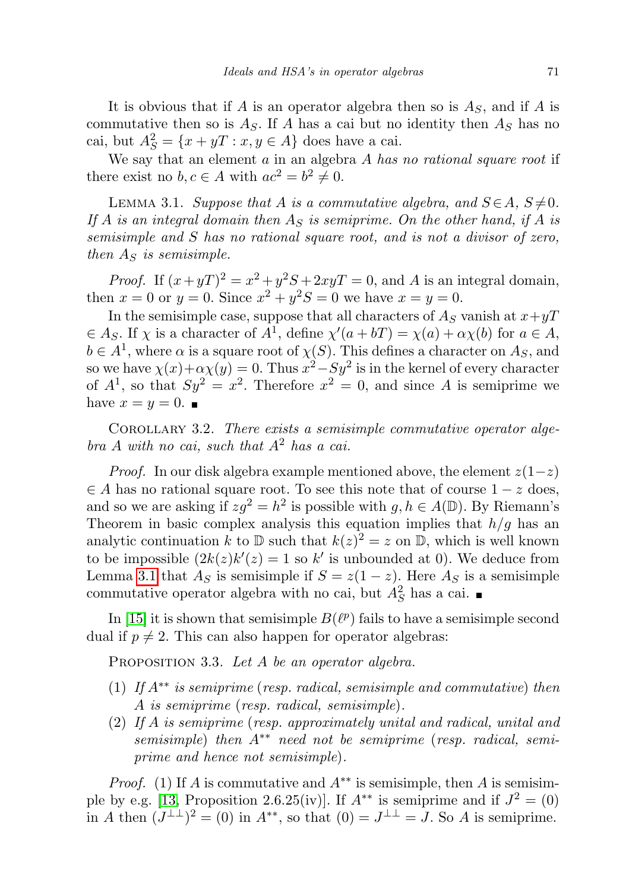It is obvious that if A is an operator algebra then so is  $A<sub>S</sub>$ , and if A is commutative then so is  $A<sub>S</sub>$ . If A has a cai but no identity then  $A<sub>S</sub>$  has no cai, but  $A_S^2 = \{x + yT : x, y \in A\}$  does have a cai.

We say that an element  $a$  in an algebra  $A$  has no rational square root if there exist no  $b, c \in A$  with  $ac^2 = b^2 \neq 0$ .

<span id="page-6-1"></span>LEMMA 3.1. Suppose that A is a commutative algebra, and  $S \in A$ ,  $S \neq 0$ . If A is an integral domain then  $A<sub>S</sub>$  is semiprime. On the other hand, if A is semisimple and S has no rational square root, and is not a divisor of zero, then  $A<sub>S</sub>$  is semisimple.

*Proof.* If  $(x+yT)^2 = x^2 + y^2S + 2xyT = 0$ , and A is an integral domain, then  $x = 0$  or  $y = 0$ . Since  $x^2 + y^2S = 0$  we have  $x = y = 0$ .

In the semisimple case, suppose that all characters of  $A<sub>S</sub>$  vanish at  $x+yT$  $\in A_S$ . If  $\chi$  is a character of  $A^1$ , define  $\chi'(a+bT) = \chi(a) + \alpha \chi(b)$  for  $a \in A$ ,  $b \in A^1$ , where  $\alpha$  is a square root of  $\chi(S)$ . This defines a character on  $A_S$ , and so we have  $\chi(x)+\alpha\chi(y)=0$ . Thus  $x^2-Sy^2$  is in the kernel of every character of  $A^1$ , so that  $Sy^2 = x^2$ . Therefore  $x^2 = 0$ , and since A is semiprime we have  $x=y=0$ .

<span id="page-6-0"></span>COROLLARY 3.2. There exists a semisimple commutative operator alge $bra A$  with no cai, such that  $A<sup>2</sup>$  has a cai.

*Proof.* In our disk algebra example mentioned above, the element  $z(1-z)$  $\in$  A has no rational square root. To see this note that of course  $1 - z$  does, and so we are asking if  $z g^2 = h^2$  is possible with  $g, h \in A(\mathbb{D})$ . By Riemann's Theorem in basic complex analysis this equation implies that  $h/g$  has an analytic continuation k to  $\mathbb D$  such that  $k(z)^2 = z$  on  $\mathbb D$ , which is well known to be impossible  $(2k(z)k'(z)) = 1$  so k' is unbounded at 0). We deduce from Lemma [3.1](#page-6-1) that  $A_S$  is semisimple if  $S = z(1-z)$ . Here  $A_S$  is a semisimple commutative operator algebra with no cai, but  $A_S^2$  has a cai.

In [\[15\]](#page-27-10) it is shown that semisimple  $B(\ell^p)$  fails to have a semisimple second dual if  $p \neq 2$ . This can also happen for operator algebras:

PROPOSITION 3.3. Let A be an operator algebra.

- (1) If  $A^{**}$  is semiprime (resp. radical, semisimple and commutative) then A is semiprime (resp. radical, semisimple).
- (2) If A is semiprime (resp. approximately unital and radical, unital and semisimple) then  $A^{**}$  need not be semiprime (resp. radical, semiprime and hence not semisimple).

*Proof.* (1) If A is commutative and  $A^{**}$  is semisimple, then A is semisim-ple by e.g. [\[13,](#page-27-11) Proposition 2.6.25(iv)]. If  $A^{**}$  is semiprime and if  $J^2 = (0)$ in A then  $(J^{\perp\perp})^2 = (0)$  in  $A^{**}$ , so that  $(0) = J^{\perp\perp} = J$ . So A is semiprime.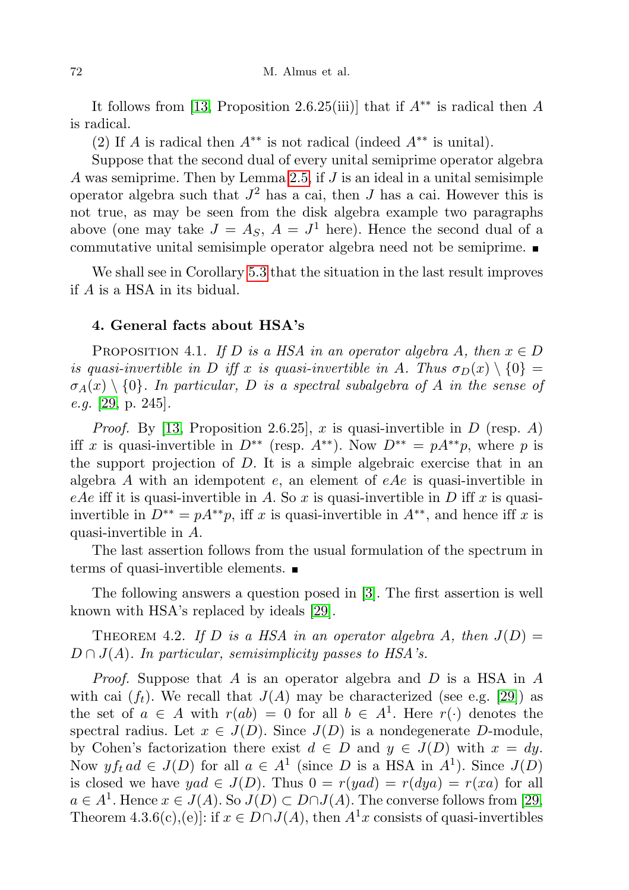It follows from [\[13,](#page-27-11) Proposition 2.6.25(iii)] that if  $A^{**}$  is radical then A is radical.

(2) If A is radical then  $A^{**}$  is not radical (indeed  $A^{**}$  is unital).

Suppose that the second dual of every unital semiprime operator algebra A was semiprime. Then by Lemma [2.5,](#page-4-2) if J is an ideal in a unital semisimple operator algebra such that  $J^2$  has a cai, then  $J$  has a cai. However this is not true, as may be seen from the disk algebra example two paragraphs above (one may take  $J = A_S$ ,  $A = J<sup>1</sup>$  here). Hence the second dual of a commutative unital semisimple operator algebra need not be semiprime.

We shall see in Corollary [5.3](#page-9-0) that the situation in the last result improves if A is a HSA in its bidual.

## 4. General facts about HSA's

<span id="page-7-0"></span>PROPOSITION 4.1. If D is a HSA in an operator algebra A, then  $x \in D$ is quasi-invertible in D iff x is quasi-invertible in A. Thus  $\sigma_D(x) \setminus \{0\} =$  $\sigma_A(x) \setminus \{0\}$ . In particular, D is a spectral subalgebra of A in the sense of e.g. [\[29,](#page-28-5) p. 245].

*Proof.* By [\[13,](#page-27-11) Proposition 2.6.25], x is quasi-invertible in  $D$  (resp. A) iff x is quasi-invertible in  $D^{**}$  (resp.  $A^{**}$ ). Now  $D^{**} = pA^{**}p$ , where p is the support projection of  $D$ . It is a simple algebraic exercise that in an algebra  $A$  with an idempotent  $e$ , an element of  $eAe$  is quasi-invertible in eAe iff it is quasi-invertible in A. So  $x$  is quasi-invertible in  $D$  iff  $x$  is quasiinvertible in  $D^{**} = pA^{**}p$ , iff x is quasi-invertible in  $A^{**}$ , and hence iff x is quasi-invertible in A.

The last assertion follows from the usual formulation of the spectrum in terms of quasi-invertible elements. ■

The following answers a question posed in [\[3\]](#page-27-2). The first assertion is well known with HSA's replaced by ideals [\[29\]](#page-28-5).

<span id="page-7-1"></span>THEOREM 4.2. If D is a HSA in an operator algebra A, then  $J(D) =$  $D \cap J(A)$ . In particular, semisimplicity passes to HSA's.

*Proof.* Suppose that A is an operator algebra and D is a HSA in A with cai  $(f_t)$ . We recall that  $J(A)$  may be characterized (see e.g. [\[29\]](#page-28-5)) as the set of  $a \in A$  with  $r(ab) = 0$  for all  $b \in A^1$ . Here  $r(\cdot)$  denotes the spectral radius. Let  $x \in J(D)$ . Since  $J(D)$  is a nondegenerate D-module, by Cohen's factorization there exist  $d \in D$  and  $y \in J(D)$  with  $x = dy$ . Now  $y f_t a d \in J(D)$  for all  $a \in A<sup>1</sup>$  (since D is a HSA in  $A<sup>1</sup>$ ). Since  $J(D)$ is closed we have  $yad \in J(D)$ . Thus  $0 = r(yad) = r(dya) = r(xa)$  for all  $a \in A^1$ . Hence  $x \in J(A)$ . So  $J(D) \subset D \cap J(A)$ . The converse follows from [\[29,](#page-28-5) Theorem 4.3.6(c),(e)]: if  $x \in D \cap J(A)$ , then  $A^1x$  consists of quasi-invertibles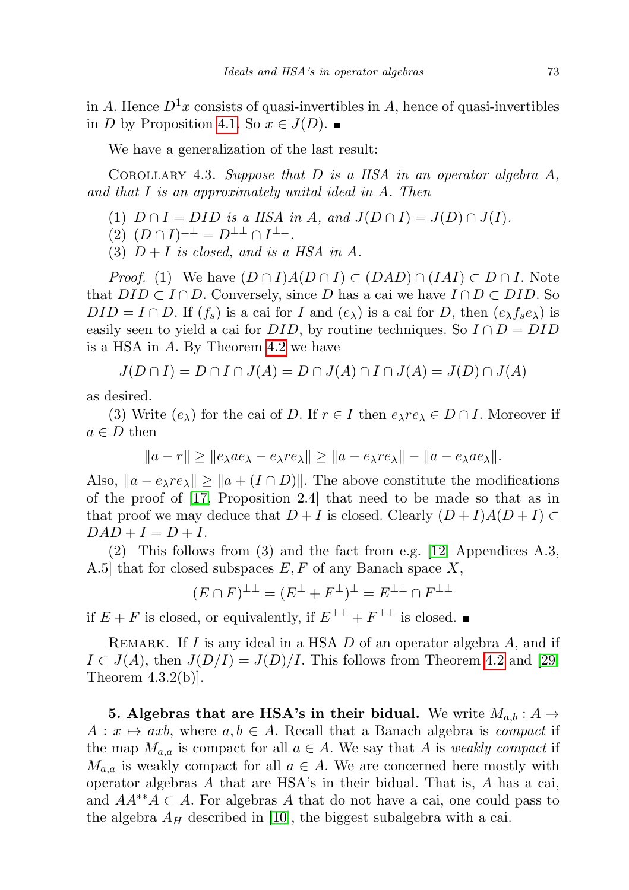in A. Hence  $D^1x$  consists of quasi-invertibles in A, hence of quasi-invertibles in *D* by Proposition [4.1.](#page-7-0) So  $x \in J(D)$ . ■

We have a generalization of the last result:

<span id="page-8-1"></span>COROLLARY 4.3. Suppose that  $D$  is a HSA in an operator algebra  $A$ , and that I is an approximately unital ideal in A. Then

(1)  $D \cap I = DID$  is a HSA in A, and  $J(D \cap I) = J(D) \cap J(I)$ .

$$
(2) (D \cap I)^{\perp \perp} = D^{\perp \perp} \cap I^{\perp \perp}.
$$

(3)  $D+I$  is closed, and is a HSA in A.

*Proof.* (1) We have  $(D \cap I)A(D \cap I) \subset (DAD) \cap (IAI) \subset D \cap I$ . Note that  $DID \subset I \cap D$ . Conversely, since D has a cai we have  $I \cap D \subset DID$ . So  $DID = I \cap D$ . If  $(f_s)$  is a cai for I and  $(e_{\lambda})$  is a cai for D, then  $(e_{\lambda} f_s e_{\lambda})$  is easily seen to yield a cai for  $DID$ , by routine techniques. So  $I \cap D = DID$ is a HSA in A. By Theorem [4.2](#page-7-1) we have

$$
J(D \cap I) = D \cap I \cap J(A) = D \cap J(A) \cap I \cap J(A) = J(D) \cap J(A)
$$

as desired.

(3) Write  $(e_{\lambda})$  for the cai of D. If  $r \in I$  then  $e_{\lambda}re_{\lambda} \in D \cap I$ . Moreover if  $a \in D$  then

$$
||a-r|| \ge ||e_{\lambda}ae_{\lambda}-e_{\lambda}re_{\lambda}|| \ge ||a-e_{\lambda}re_{\lambda}|| - ||a-e_{\lambda}ae_{\lambda}||.
$$

Also,  $||a - e_\lambda r e_\lambda|| \ge ||a + (I \cap D)||$ . The above constitute the modifications of the proof of [\[17,](#page-27-8) Proposition 2.4] that need to be made so that as in that proof we may deduce that  $D + I$  is closed. Clearly  $(D + I)A(D + I) \subset$  $DAD + I = D + I.$ 

(2) This follows from (3) and the fact from e.g. [\[12,](#page-27-12) Appendices A.3, A.5] that for closed subspaces  $E, F$  of any Banach space  $X$ ,

$$
(E\cap F)^{\perp\perp}=(E^\perp+F^\perp)^\perp=E^{\perp\perp}\cap F^{\perp\perp}
$$

if  $E + F$  is closed, or equivalently, if  $E^{\perp \perp} + F^{\perp \perp}$  is closed.

REMARK. If I is any ideal in a HSA  $D$  of an operator algebra  $A$ , and if  $I \subset J(A)$ , then  $J(D/I) = J(D)/I$ . This follows from Theorem [4.2](#page-7-1) and [\[29,](#page-28-5) Theorem  $4.3.2(b)$ .

<span id="page-8-0"></span>5. Algebras that are HSA's in their bidual. We write  $M_{a,b}: A \rightarrow$  $A: x \mapsto axb$ , where  $a, b \in A$ . Recall that a Banach algebra is compact if the map  $M_{a,a}$  is compact for all  $a \in A$ . We say that A is weakly compact if  $M_{a,a}$  is weakly compact for all  $a \in A$ . We are concerned here mostly with operator algebras  $A$  that are HSA's in their bidual. That is,  $A$  has a cai, and  $AA^{**}A \subset A$ . For algebras A that do not have a cai, one could pass to the algebra  $A_H$  described in [\[10\]](#page-27-7), the biggest subalgebra with a cai.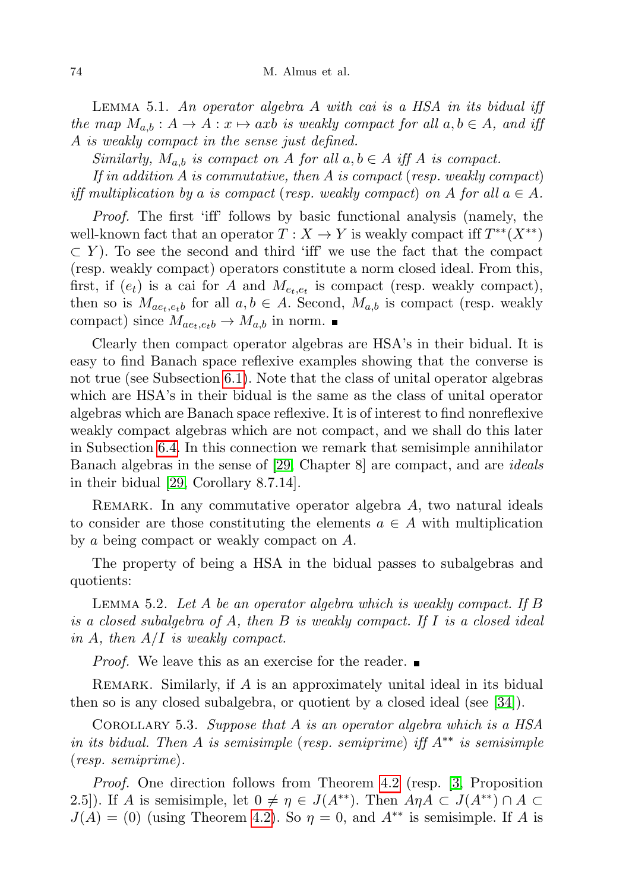LEMMA 5.1. An operator algebra  $A$  with cai is a HSA in its bidual iff the map  $M_{a,b}: A \to A: x \mapsto axb$  is weakly compact for all  $a, b \in A$ , and iff A is weakly compact in the sense just defined.

Similarly,  $M_{a,b}$  is compact on A for all  $a, b \in A$  iff A is compact.

If in addition  $A$  is commutative, then  $A$  is compact (resp. weakly compact) iff multiplication by a is compact (resp. weakly compact) on A for all  $a \in A$ .

Proof. The first 'iff' follows by basic functional analysis (namely, the well-known fact that an operator  $T : X \to Y$  is weakly compact iff  $T^{**}(X^{**})$  $\subset Y$ ). To see the second and third 'iff' we use the fact that the compact (resp. weakly compact) operators constitute a norm closed ideal. From this, first, if  $(e_t)$  is a cai for A and  $M_{e_t,e_t}$  is compact (resp. weakly compact), then so is  $M_{ae_t,e_t}$  for all  $a, b \in A$ . Second,  $M_{a,b}$  is compact (resp. weakly compact) since  $M_{ae_t,e_tb} \rightarrow M_{a,b}$  in norm.

Clearly then compact operator algebras are HSA's in their bidual. It is easy to find Banach space reflexive examples showing that the converse is not true (see Subsection [6.1\)](#page-16-0). Note that the class of unital operator algebras which are HSA's in their bidual is the same as the class of unital operator algebras which are Banach space reflexive. It is of interest to find nonreflexive weakly compact algebras which are not compact, and we shall do this later in Subsection [6.4.](#page-18-0) In this connection we remark that semisimple annihilator Banach algebras in the sense of [\[29,](#page-28-5) Chapter 8] are compact, and are ideals in their bidual [\[29,](#page-28-5) Corollary 8.7.14].

REMARK. In any commutative operator algebra  $A$ , two natural ideals to consider are those constituting the elements  $a \in A$  with multiplication by a being compact or weakly compact on A.

The property of being a HSA in the bidual passes to subalgebras and quotients:

<span id="page-9-1"></span>LEMMA 5.2. Let A be an operator algebra which is weakly compact. If B is a closed subalgebra of A, then  $B$  is weakly compact. If  $I$  is a closed ideal in A, then  $A/I$  is weakly compact.

*Proof.* We leave this as an exercise for the reader.  $\blacksquare$ 

REMARK. Similarly, if  $A$  is an approximately unital ideal in its bidual then so is any closed subalgebra, or quotient by a closed ideal (see [\[34\]](#page-28-0)).

<span id="page-9-0"></span>COROLLARY 5.3. Suppose that A is an operator algebra which is a  $HSA$ in its bidual. Then A is semisimple (resp. semiprime) iff  $A^{**}$  is semisimple (resp. semiprime).

Proof. One direction follows from Theorem [4.2](#page-7-1) (resp. [\[3,](#page-27-2) Proposition 2.5]). If A is semisimple, let  $0 \neq \eta \in J(A^{**})$ . Then  $A \eta A \subset J(A^{**}) \cap A \subset$  $J(A) = (0)$  (using Theorem [4.2\)](#page-7-1). So  $\eta = 0$ , and  $A^{**}$  is semisimple. If A is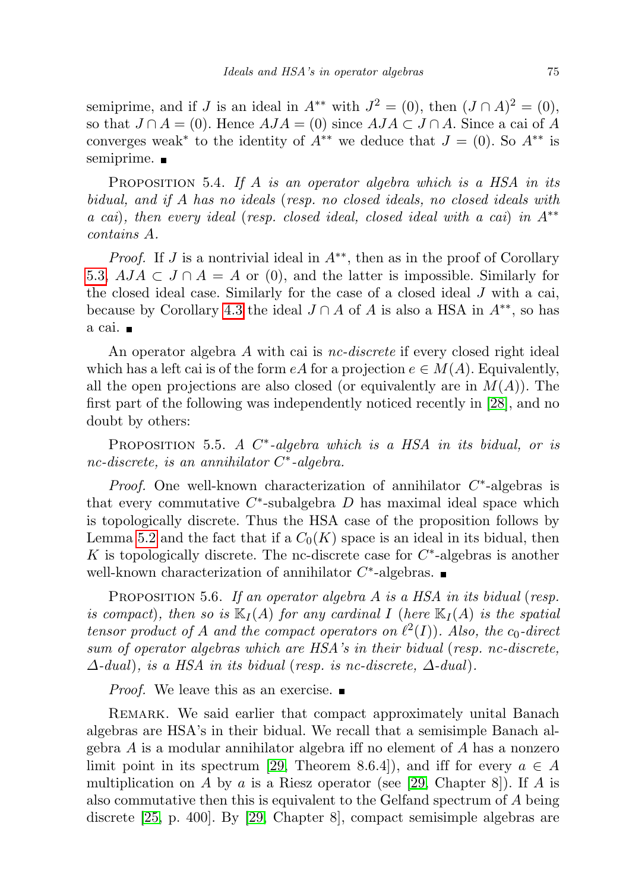semiprime, and if J is an ideal in  $A^{**}$  with  $J^2 = (0)$ , then  $(J \cap A)^2 = (0)$ , so that  $J \cap A = (0)$ . Hence  $AJA = (0)$  since  $AJA \subset J \cap A$ . Since a cai of A converges weak<sup>\*</sup> to the identity of  $A^{**}$  we deduce that  $J = (0)$ . So  $A^{**}$  is semiprime.  $\blacksquare$ 

PROPOSITION 5.4. If A is an operator algebra which is a HSA in its bidual, and if A has no ideals (resp. no closed ideals, no closed ideals with a cai), then every ideal (resp. closed ideal, closed ideal with a cai) in A∗∗ contains A.

*Proof.* If J is a nontrivial ideal in  $A^{**}$ , then as in the proof of Corollary [5.3,](#page-9-0)  $AJA \subset J \cap A = A$  or (0), and the latter is impossible. Similarly for the closed ideal case. Similarly for the case of a closed ideal J with a cai, because by Corollary [4.3](#page-8-1) the ideal  $J \cap A$  of A is also a HSA in  $A^{**}$ , so has a cai.

An operator algebra A with cai is nc-discrete if every closed right ideal which has a left cai is of the form  $eA$  for a projection  $e \in M(A)$ . Equivalently, all the open projections are also closed (or equivalently are in  $M(A)$ ). The first part of the following was independently noticed recently in [\[28\]](#page-28-6), and no doubt by others:

<span id="page-10-0"></span>PROPOSITION 5.5. A  $C^*$ -algebra which is a HSA in its bidual, or is nc-discrete, is an annihilator C<sup>\*</sup>-algebra.

*Proof.* One well-known characterization of annihilator  $C^*$ -algebras is that every commutative  $C^*$ -subalgebra  $D$  has maximal ideal space which is topologically discrete. Thus the HSA case of the proposition follows by Lemma [5.2](#page-9-1) and the fact that if a  $C_0(K)$  space is an ideal in its bidual, then  $K$  is topologically discrete. The nc-discrete case for  $C^*$ -algebras is another well-known characterization of annihilator  $C^*$ -algebras.

PROPOSITION 5.6. If an operator algebra  $A$  is a HSA in its bidual (resp. is compact), then so is  $\mathbb{K}_I(A)$  for any cardinal I (here  $\mathbb{K}_I(A)$  is the spatial tensor product of A and the compact operators on  $\ell^2(I)$ ). Also, the c<sub>0</sub>-direct sum of operator algebras which are HSA's in their bidual (resp. nc-discrete,  $\Delta$ -dual), is a HSA in its bidual (resp. is nc-discrete,  $\Delta$ -dual).

*Proof.* We leave this as an exercise.  $\blacksquare$ 

REMARK. We said earlier that compact approximately unital Banach algebras are HSA's in their bidual. We recall that a semisimple Banach algebra  $A$  is a modular annihilator algebra iff no element of  $A$  has a nonzero limit point in its spectrum [\[29,](#page-28-5) Theorem 8.6.4]), and iff for every  $a \in A$ multiplication on A by a is a Riesz operator (see [\[29,](#page-28-5) Chapter 8]). If A is also commutative then this is equivalent to the Gelfand spectrum of A being discrete [\[25,](#page-28-7) p. 400]. By [\[29,](#page-28-5) Chapter 8], compact semisimple algebras are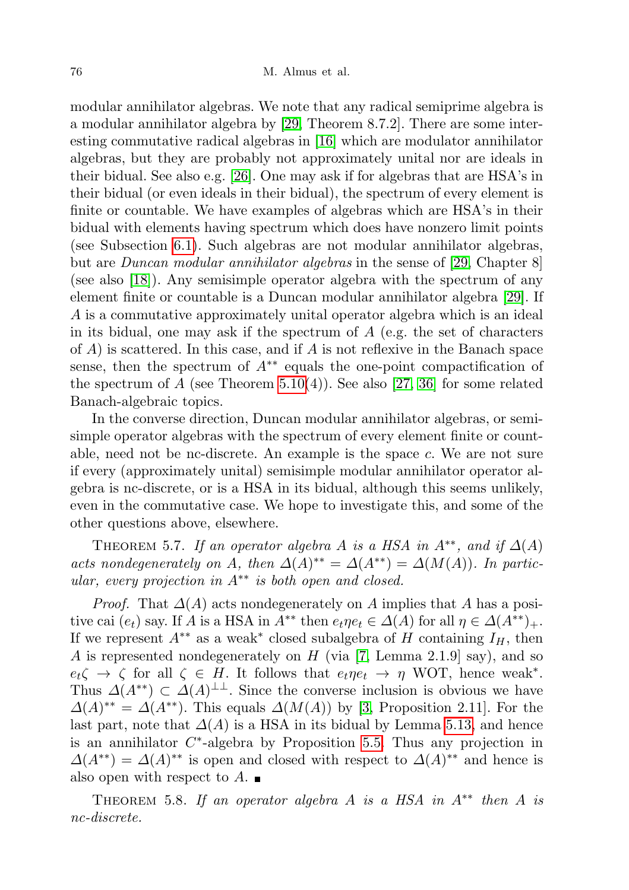modular annihilator algebras. We note that any radical semiprime algebra is a modular annihilator algebra by [\[29,](#page-28-5) Theorem 8.7.2]. There are some interesting commutative radical algebras in [\[16\]](#page-27-13) which are modulator annihilator algebras, but they are probably not approximately unital nor are ideals in their bidual. See also e.g. [\[26\]](#page-28-8). One may ask if for algebras that are HSA's in their bidual (or even ideals in their bidual), the spectrum of every element is finite or countable. We have examples of algebras which are HSA's in their bidual with elements having spectrum which does have nonzero limit points (see Subsection [6.1\)](#page-16-0). Such algebras are not modular annihilator algebras, but are Duncan modular annihilator algebras in the sense of [\[29,](#page-28-5) Chapter 8] (see also [\[18\]](#page-27-14)). Any semisimple operator algebra with the spectrum of any element finite or countable is a Duncan modular annihilator algebra [\[29\]](#page-28-5). If A is a commutative approximately unital operator algebra which is an ideal in its bidual, one may ask if the spectrum of  $A$  (e.g. the set of characters of  $A$ ) is scattered. In this case, and if  $A$  is not reflexive in the Banach space sense, then the spectrum of  $A^{**}$  equals the one-point compactification of the spectrum of A (see Theorem [5.10\(](#page-13-0)4)). See also [\[27,](#page-28-9) [36\]](#page-28-2) for some related Banach-algebraic topics.

In the converse direction, Duncan modular annihilator algebras, or semisimple operator algebras with the spectrum of every element finite or countable, need not be nc-discrete. An example is the space c. We are not sure if every (approximately unital) semisimple modular annihilator operator algebra is nc-discrete, or is a HSA in its bidual, although this seems unlikely, even in the commutative case. We hope to investigate this, and some of the other questions above, elsewhere.

<span id="page-11-1"></span>THEOREM 5.7. If an operator algebra A is a HSA in  $A^{**}$ , and if  $\Delta(A)$ acts nondegenerately on A, then  $\Delta(A)^{**} = \Delta(A^{**}) = \Delta(M(A))$ . In particular, every projection in  $A^{**}$  is both open and closed.

*Proof.* That  $\Delta(A)$  acts nondegenerately on A implies that A has a positive cai  $(e_t)$  say. If A is a HSA in  $A^{**}$  then  $e_t \eta e_t \in \Delta(A)$  for all  $\eta \in \Delta(A^{**})_+$ . If we represent  $A^{**}$  as a weak<sup>\*</sup> closed subalgebra of H containing  $I_H$ , then A is represented nondegenerately on  $H$  (via [\[7,](#page-27-1) Lemma 2.1.9] say), and so  $e_t \zeta \to \zeta$  for all  $\zeta \in H$ . It follows that  $e_t \eta e_t \to \eta$  WOT, hence weak<sup>\*</sup>. Thus  $\Delta(A^{**}) \subset \Delta(A)^{\perp \perp}$ . Since the converse inclusion is obvious we have  $\Delta(A)^{**} = \Delta(A^{**})$ . This equals  $\Delta(M(A))$  by [\[3,](#page-27-2) Proposition 2.11]. For the last part, note that  $\Delta(A)$  is a HSA in its bidual by Lemma [5.13,](#page-14-0) and hence is an annihilator  $C^*$ -algebra by Proposition [5.5.](#page-10-0) Thus any projection in  $\Delta(A^{**}) = \Delta(A)^{**}$  is open and closed with respect to  $\Delta(A)^{**}$  and hence is also open with respect to  $A$ .

<span id="page-11-0"></span>THEOREM 5.8. If an operator algebra A is a HSA in  $A^{**}$  then A is nc-discrete.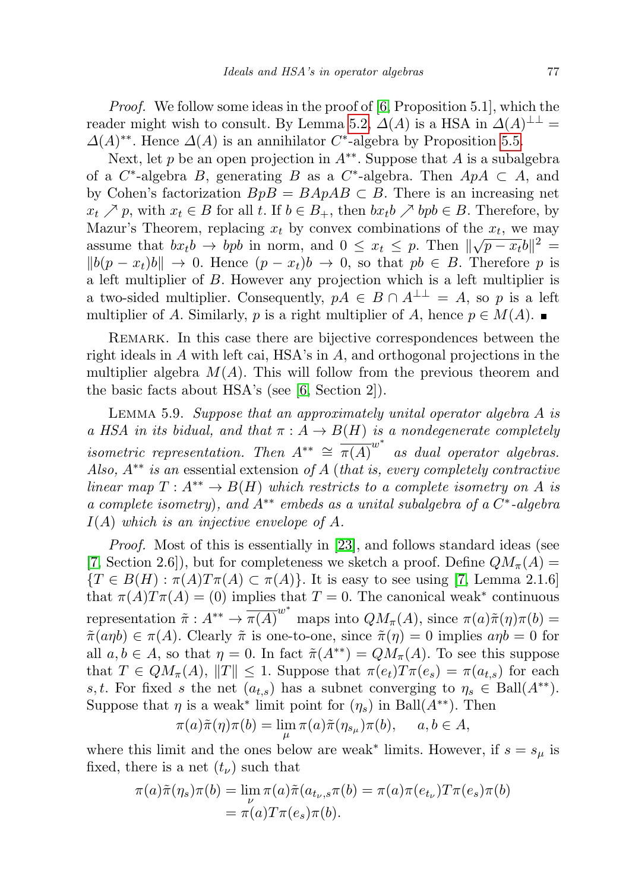Proof. We follow some ideas in the proof of [\[6,](#page-27-4) Proposition 5.1], which the reader might wish to consult. By Lemma [5.2,](#page-9-1)  $\Delta(A)$  is a HSA in  $\Delta(A)^{\perp\perp} =$  $\Delta(A)^{**}$ . Hence  $\Delta(A)$  is an annihilator C<sup>\*</sup>-algebra by Proposition [5.5.](#page-10-0)

Next, let p be an open projection in  $A^{**}$ . Suppose that A is a subalgebra of a  $C^*$ -algebra B, generating B as a  $C^*$ -algebra. Then  $ApA \subset A$ , and by Cohen's factorization  $BpB = BApAB \subset B$ . There is an increasing net  $x_t \nearrow p$ , with  $x_t \in B$  for all t. If  $b \in B_+$ , then  $bx_t b \nearrow bp b \in B$ . Therefore, by Mazur's Theorem, replacing  $x_t$  by convex combinations of the  $x_t$ , we may assume that  $bx_t b \to bpb$  in norm, and  $0 \le x_t \le p$ . Then  $\|\sqrt{p-x_t}b\|^2 =$  $||b(p - x_t)b|| \to 0$ . Hence  $(p - x_t)b \to 0$ , so that  $pb \in B$ . Therefore p is a left multiplier of B. However any projection which is a left multiplier is a two-sided multiplier. Consequently,  $pA \in B \cap A^{\perp \perp} = A$ , so p is a left multiplier of A. Similarly, p is a right multiplier of A, hence  $p \in M(A)$ .

REMARK. In this case there are bijective correspondences between the right ideals in A with left cai, HSA's in A, and orthogonal projections in the multiplier algebra  $M(A)$ . This will follow from the previous theorem and the basic facts about HSA's (see [\[6,](#page-27-4) Section 2]).

<span id="page-12-0"></span>LEMMA 5.9. Suppose that an approximately unital operator algebra  $A$  is a HSA in its bidual, and that  $\pi : A \to B(H)$  is a nondegenerate completely isometric representation. Then  $A^{**} \cong \overline{\pi(A)}^{w^*}$  as dual operator algebras. Also,  $A^{**}$  is an essential extension of A (that is, every completely contractive linear map  $T: A^{**} \to B(H)$  which restricts to a complete isometry on A is a complete isometry), and  $A^{**}$  embeds as a unital subalgebra of a  $C^*$ -algebra  $I(A)$  which is an injective envelope of A.

Proof. Most of this is essentially in [\[23\]](#page-28-10), and follows standard ideas (see [\[7,](#page-27-1) Section 2.6]), but for completeness we sketch a proof. Define  $QM_{\pi}(A) =$  ${T \in B(H) : \pi(A)T\pi(A) \subset \pi(A)}$ . It is easy to see using [\[7,](#page-27-1) Lemma 2.1.6] that  $\pi(A)T\pi(A) = (0)$  implies that  $T = 0$ . The canonical weak<sup>\*</sup> continuous representation  $\tilde{\pi}: A^{**} \to \overline{\pi(A)}^{w^*}$  maps into  $QM_{\pi}(A)$ , since  $\pi(a)\tilde{\pi}(\eta)\pi(b) =$  $\tilde{\pi}(a\eta b) \in \pi(A)$ . Clearly  $\tilde{\pi}$  is one-to-one, since  $\tilde{\pi}(\eta) = 0$  implies  $a\eta b = 0$  for all  $a, b \in A$ , so that  $\eta = 0$ . In fact  $\tilde{\pi}(A^{**}) = QM_{\pi}(A)$ . To see this suppose that  $T \in QM_{\pi}(A), ||T|| \leq 1$ . Suppose that  $\pi(e_t)T\pi(e_s) = \pi(a_{t,s})$  for each s, t. For fixed s the net  $(a_{t,s})$  has a subnet converging to  $\eta_s \in \text{Ball}(A^{**})$ . Suppose that  $\eta$  is a weak<sup>\*</sup> limit point for  $(\eta_s)$  in Ball $(A^{**})$ . Then

$$
\pi(a)\tilde{\pi}(\eta)\pi(b) = \lim_{\mu} \pi(a)\tilde{\pi}(\eta_{s_{\mu}})\pi(b), \quad a, b \in A,
$$

where this limit and the ones below are weak<sup>\*</sup> limits. However, if  $s = s_\mu$  is fixed, there is a net  $(t_{\nu})$  such that

$$
\pi(a)\tilde{\pi}(\eta_s)\pi(b) = \lim_{\nu} \pi(a)\tilde{\pi}(a_{t_{\nu,s}}\pi(b)) = \pi(a)\pi(e_{t_{\nu}})T\pi(e_s)\pi(b)
$$

$$
= \pi(a)T\pi(e_s)\pi(b).
$$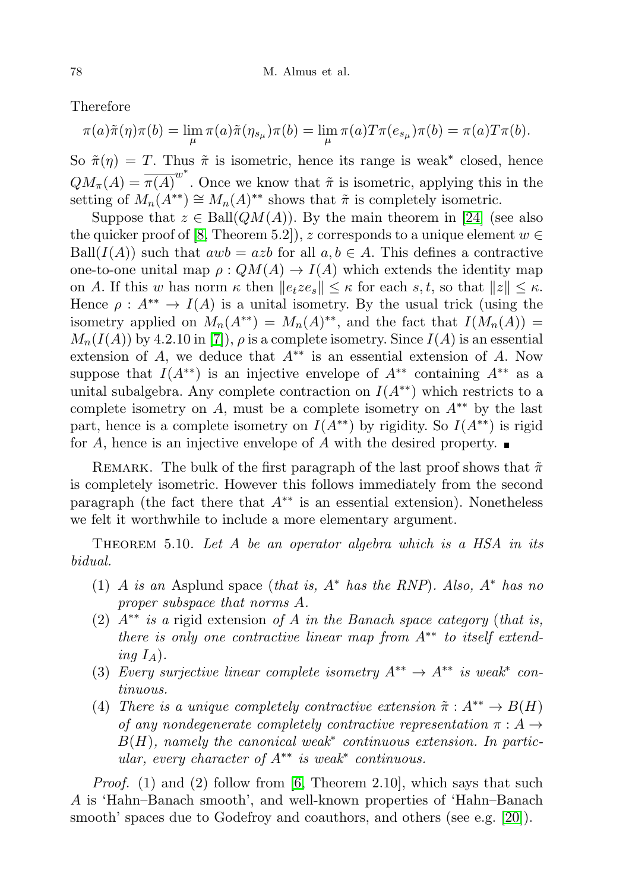Therefore

$$
\pi(a)\tilde{\pi}(\eta)\pi(b) = \lim_{\mu} \pi(a)\tilde{\pi}(\eta_{s_{\mu}})\pi(b) = \lim_{\mu} \pi(a)T\pi(e_{s_{\mu}})\pi(b) = \pi(a)T\pi(b).
$$

So  $\tilde{\pi}(\eta) = T$ . Thus  $\tilde{\pi}$  is isometric, hence its range is weak<sup>\*</sup> closed, hence  $QM_{\pi}(A) = \overline{\pi(A)}^{w^*}$ . Once we know that  $\tilde{\pi}$  is isometric, applying this in the setting of  $M_n(A^{**}) \cong M_n(A)^{**}$  shows that  $\tilde{\pi}$  is completely isometric.

Suppose that  $z \in \text{Ball}(QM(A))$ . By the main theorem in [\[24\]](#page-28-11) (see also the quicker proof of [\[8,](#page-27-15) Theorem 5.2]), z corresponds to a unique element  $w \in$ Ball( $I(A)$ ) such that  $awb = azb$  for all  $a, b \in A$ . This defines a contractive one-to-one unital map  $\rho: QM(A) \to I(A)$  which extends the identity map on A. If this w has norm  $\kappa$  then  $||e_tze_s|| \leq \kappa$  for each s, t, so that  $||z|| \leq \kappa$ . Hence  $\rho: A^{**} \to I(A)$  is a unital isometry. By the usual trick (using the isometry applied on  $M_n(A^{**}) = M_n(A)^{**}$ , and the fact that  $I(M_n(A)) =$  $M_n(I(A))$  by 4.2.10 in [\[7\]](#page-27-1)),  $\rho$  is a complete isometry. Since  $I(A)$  is an essential extension of A, we deduce that  $A^{**}$  is an essential extension of A. Now suppose that  $I(A^{**})$  is an injective envelope of  $A^{**}$  containing  $A^{**}$  as a unital subalgebra. Any complete contraction on  $I(A^{**})$  which restricts to a complete isometry on A, must be a complete isometry on  $A^{**}$  by the last part, hence is a complete isometry on  $I(A^{**})$  by rigidity. So  $I(A^{**})$  is rigid for A, hence is an injective envelope of A with the desired property.  $\blacksquare$ 

REMARK. The bulk of the first paragraph of the last proof shows that  $\tilde{\pi}$ is completely isometric. However this follows immediately from the second paragraph (the fact there that  $A^{**}$  is an essential extension). Nonetheless we felt it worthwhile to include a more elementary argument.

<span id="page-13-0"></span>THEOREM 5.10. Let  $A$  be an operator algebra which is a HSA in its bidual.

- (1) A is an Asplund space (that is,  $A^*$  has the RNP). Also,  $A^*$  has no proper subspace that norms A.
- (2)  $A^{**}$  is a rigid extension of A in the Banach space category (that is, there is only one contractive linear map from  $A^{**}$  to itself extending  $I_A$ ).
- (3) Every surjective linear complete isometry  $A^{**} \to A^{**}$  is weak\* continuous.
- (4) There is a unique completely contractive extension  $\tilde{\pi}: A^{**} \to B(H)$ of any nondegenerate completely contractive representation  $\pi : A \rightarrow$  $B(H)$ , namely the canonical weak<sup>\*</sup> continuous extension. In particular, every character of  $A^{**}$  is weak<sup>\*</sup> continuous.

*Proof.* (1) and (2) follow from [\[6,](#page-27-4) Theorem 2.10], which says that such A is 'Hahn–Banach smooth', and well-known properties of 'Hahn–Banach smooth' spaces due to Godefroy and coauthors, and others (see e.g. [\[20\]](#page-28-12)).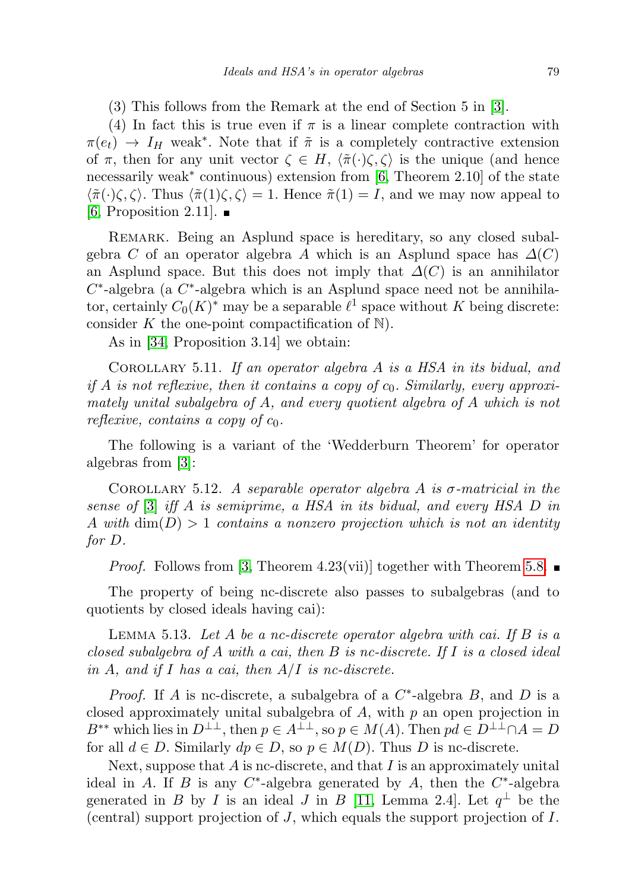(3) This follows from the Remark at the end of Section 5 in [\[3\]](#page-27-2).

(4) In fact this is true even if  $\pi$  is a linear complete contraction with  $\pi(e_t) \to I_H$  weak<sup>\*</sup>. Note that if  $\tilde{\pi}$  is a completely contractive extension of  $\pi$ , then for any unit vector  $\zeta \in H$ ,  $\langle \tilde{\pi}(\cdot)\zeta, \zeta \rangle$  is the unique (and hence necessarily weak<sup>∗</sup> continuous) extension from [\[6,](#page-27-4) Theorem 2.10] of the state  $\langle \tilde{\pi}(\cdot)\zeta, \zeta\rangle$ . Thus  $\langle \tilde{\pi}(1)\zeta, \zeta\rangle = 1$ . Hence  $\tilde{\pi}(1) = I$ , and we may now appeal to  $[6,$  Proposition 2.11].  $\blacksquare$ 

REMARK. Being an Asplund space is hereditary, so any closed subalgebra C of an operator algebra A which is an Asplund space has  $\Delta(C)$ an Asplund space. But this does not imply that  $\Delta(C)$  is an annihilator  $C^*$ -algebra (a  $C^*$ -algebra which is an Asplund space need not be annihilator, certainly  $C_0(K)^*$  may be a separable  $\ell^1$  space without K being discrete: consider  $K$  the one-point compactification of  $\mathbb N$ .

As in [\[34,](#page-28-0) Proposition 3.14] we obtain:

COROLLARY 5.11. If an operator algebra A is a HSA in its bidual, and if A is not reflexive, then it contains a copy of  $c_0$ . Similarly, every approximately unital subalgebra of A, and every quotient algebra of A which is not reflexive, contains a copy of  $c_0$ .

The following is a variant of the 'Wedderburn Theorem' for operator algebras from [\[3\]](#page-27-2):

COROLLARY 5.12. A separable operator algebra A is  $\sigma$ -matricial in the sense of [\[3\]](#page-27-2) iff A is semiprime, a HSA in its bidual, and every HSA D in A with  $\dim(D) > 1$  contains a nonzero projection which is not an identity for D.

*Proof.* Follows from [\[3,](#page-27-2) Theorem 4.23(vii)] together with Theorem [5.8.](#page-11-0)  $\blacksquare$ 

The property of being nc-discrete also passes to subalgebras (and to quotients by closed ideals having cai):

<span id="page-14-0"></span>LEMMA 5.13. Let A be a nc-discrete operator algebra with cai. If B is a closed subalgebra of A with a cai, then B is nc-discrete. If I is a closed ideal in A, and if I has a cai, then  $A/I$  is nc-discrete.

*Proof.* If A is nc-discrete, a subalgebra of a  $C^*$ -algebra B, and D is a closed approximately unital subalgebra of  $A$ , with  $p$  an open projection in B<sup>\*\*</sup> which lies in  $D^{\perp\perp}$ , then  $p \in A^{\perp\perp}$ , so  $p \in M(A)$ . Then  $pd \in D^{\perp\perp} \cap A = D$ for all  $d \in D$ . Similarly  $dp \in D$ , so  $p \in M(D)$ . Thus D is nc-discrete.

Next, suppose that  $A$  is nc-discrete, and that  $I$  is an approximately unital ideal in A. If B is any  $C^*$ -algebra generated by A, then the  $C^*$ -algebra generated in B by I is an ideal J in B [\[11,](#page-27-9) Lemma 2.4]. Let  $q^{\perp}$  be the (central) support projection of J, which equals the support projection of I.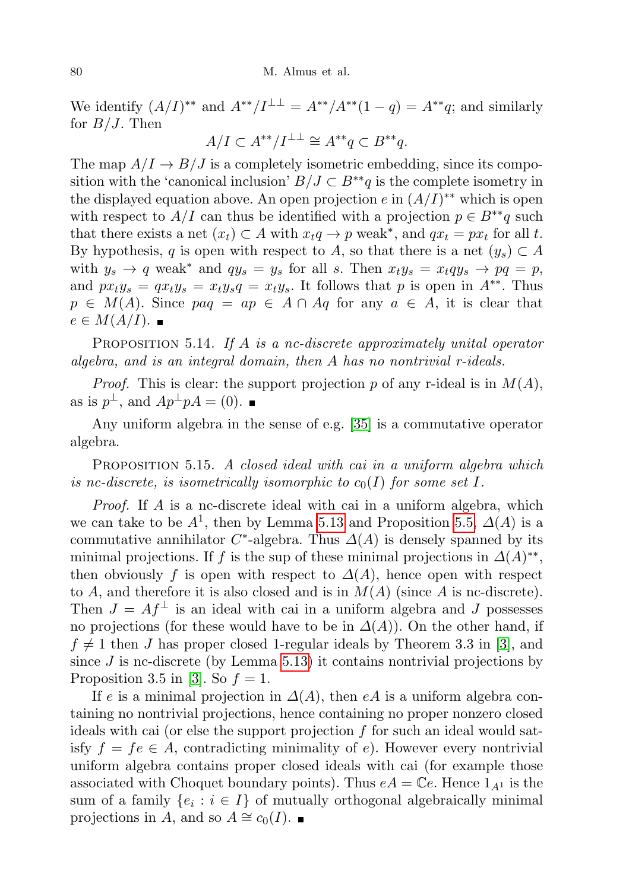We identify  $(A/I)^{**}$  and  $A^{**}/I^{\perp\perp} = A^{**}/A^{**}(1-q) = A^{**}q$ ; and similarly for  $B/J$ . Then

$$
A/I \subset A^{**}/I^{\perp \perp} \cong A^{**}q \subset B^{**}q.
$$

The map  $A/I \rightarrow B/J$  is a completely isometric embedding, since its composition with the 'canonical inclusion'  $B/J \subset B^{**}q$  is the complete isometry in the displayed equation above. An open projection  $e$  in  $(A/I)^{**}$  which is open with respect to  $A/I$  can thus be identified with a projection  $p \in B^{**}q$  such that there exists a net  $(x_t) \subset A$  with  $x_t q \to p$  weak<sup>\*</sup>, and  $qx_t = px_t$  for all t. By hypothesis, q is open with respect to A, so that there is a net  $(y_s) \subset A$ with  $y_s \to q$  weak<sup>\*</sup> and  $qy_s = y_s$  for all s. Then  $x_t y_s = x_t q y_s \to pq = p$ , and  $px_t y_s = qx_t y_s = x_t y_s q = x_t y_s$ . It follows that p is open in  $A^{**}$ . Thus  $p \in M(A)$ . Since  $paq = ap \in A \cap Aq$  for any  $a \in A$ , it is clear that  $e \in M(A/I).$ 

<span id="page-15-0"></span>PROPOSITION 5.14. If A is a nc-discrete approximately unital operator algebra, and is an integral domain, then A has no nontrivial r-ideals.

*Proof.* This is clear: the support projection p of any r-ideal is in  $M(A)$ , as is  $p^{\perp}$ , and  $Ap^{\perp}pA = (0)$ .

Any uniform algebra in the sense of e.g. [\[35\]](#page-28-13) is a commutative operator algebra.

PROPOSITION 5.15. A closed ideal with cai in a uniform algebra which is nc-discrete, is isometrically isomorphic to  $c_0(I)$  for some set I.

Proof. If A is a nc-discrete ideal with cai in a uniform algebra, which we can take to be  $A^1$ , then by Lemma [5.13](#page-14-0) and Proposition [5.5,](#page-10-0)  $\Delta(A)$  is a commutative annihilator  $C^*$ -algebra. Thus  $\Delta(A)$  is densely spanned by its minimal projections. If f is the sup of these minimal projections in  $\Delta(A)^{**}$ , then obviously f is open with respect to  $\Delta(A)$ , hence open with respect to A, and therefore it is also closed and is in  $M(A)$  (since A is nc-discrete). Then  $J = Af^{\perp}$  is an ideal with cai in a uniform algebra and J possesses no projections (for these would have to be in  $\Delta(A)$ ). On the other hand, if  $f \neq 1$  then J has proper closed 1-regular ideals by Theorem 3.3 in [\[3\]](#page-27-2), and since  $J$  is nc-discrete (by Lemma [5.13\)](#page-14-0) it contains nontrivial projections by Proposition 3.5 in [\[3\]](#page-27-2). So  $f = 1$ .

If e is a minimal projection in  $\Delta(A)$ , then eA is a uniform algebra containing no nontrivial projections, hence containing no proper nonzero closed ideals with cai (or else the support projection f for such an ideal would satisfy  $f = fe \in A$ , contradicting minimality of e). However every nontrivial uniform algebra contains proper closed ideals with cai (for example those associated with Choquet boundary points). Thus  $eA = \mathbb{C}e$ . Hence  $1_{A^1}$  is the sum of a family  $\{e_i : i \in I\}$  of mutually orthogonal algebraically minimal projections in A, and so  $A \cong c_0(I)$ . ■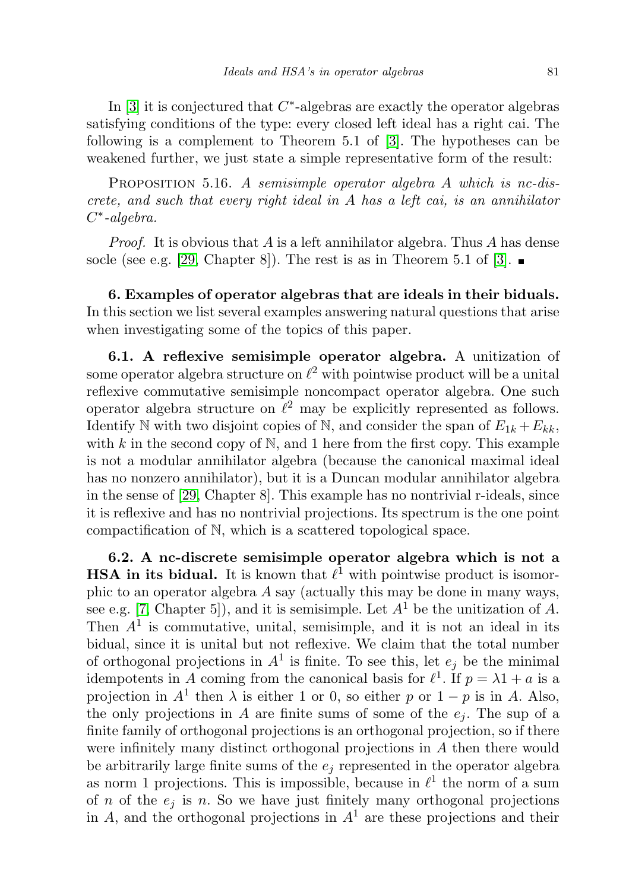In  $[3]$  it is conjectured that  $C^*$ -algebras are exactly the operator algebras satisfying conditions of the type: every closed left ideal has a right cai. The following is a complement to Theorem 5.1 of [\[3\]](#page-27-2). The hypotheses can be weakened further, we just state a simple representative form of the result:

PROPOSITION 5.16. A semisimple operator algebra A which is nc-discrete, and such that every right ideal in  $A$  has a left cai, is an annihilator C ∗ -algebra.

*Proof.* It is obvious that A is a left annihilator algebra. Thus A has dense socle (see e.g. [\[29,](#page-28-5) Chapter 8]). The rest is as in Theorem 5.1 of [\[3\]](#page-27-2).  $\blacksquare$ 

6. Examples of operator algebras that are ideals in their biduals. In this section we list several examples answering natural questions that arise when investigating some of the topics of this paper.

<span id="page-16-0"></span>6.1. A reflexive semisimple operator algebra. A unitization of some operator algebra structure on  $\ell^2$  with pointwise product will be a unital reflexive commutative semisimple noncompact operator algebra. One such operator algebra structure on  $\ell^2$  may be explicitly represented as follows. Identify N with two disjoint copies of N, and consider the span of  $E_{1k} + E_{kk}$ , with  $k$  in the second copy of  $\mathbb{N}$ , and 1 here from the first copy. This example is not a modular annihilator algebra (because the canonical maximal ideal has no nonzero annihilator), but it is a Duncan modular annihilator algebra in the sense of [\[29,](#page-28-5) Chapter 8]. This example has no nontrivial r-ideals, since it is reflexive and has no nontrivial projections. Its spectrum is the one point compactification of N, which is a scattered topological space.

<span id="page-16-1"></span>6.2. A nc-discrete semisimple operator algebra which is not a **HSA in its bidual.** It is known that  $\ell^1$  with pointwise product is isomorphic to an operator algebra A say (actually this may be done in many ways, see e.g. [\[7,](#page-27-1) Chapter 5]), and it is semisimple. Let  $A<sup>1</sup>$  be the unitization of A. Then  $A<sup>1</sup>$  is commutative, unital, semisimple, and it is not an ideal in its bidual, since it is unital but not reflexive. We claim that the total number of orthogonal projections in  $A<sup>1</sup>$  is finite. To see this, let  $e_j$  be the minimal idempotents in A coming from the canonical basis for  $\ell^1$ . If  $p = \lambda 1 + a$  is a projection in  $A^1$  then  $\lambda$  is either 1 or 0, so either p or  $1 - p$  is in A. Also, the only projections in A are finite sums of some of the  $e_i$ . The sup of a finite family of orthogonal projections is an orthogonal projection, so if there were infinitely many distinct orthogonal projections in A then there would be arbitrarily large finite sums of the  $e_i$  represented in the operator algebra as norm 1 projections. This is impossible, because in  $\ell^1$  the norm of a sum of n of the  $e_i$  is n. So we have just finitely many orthogonal projections in A, and the orthogonal projections in  $A<sup>1</sup>$  are these projections and their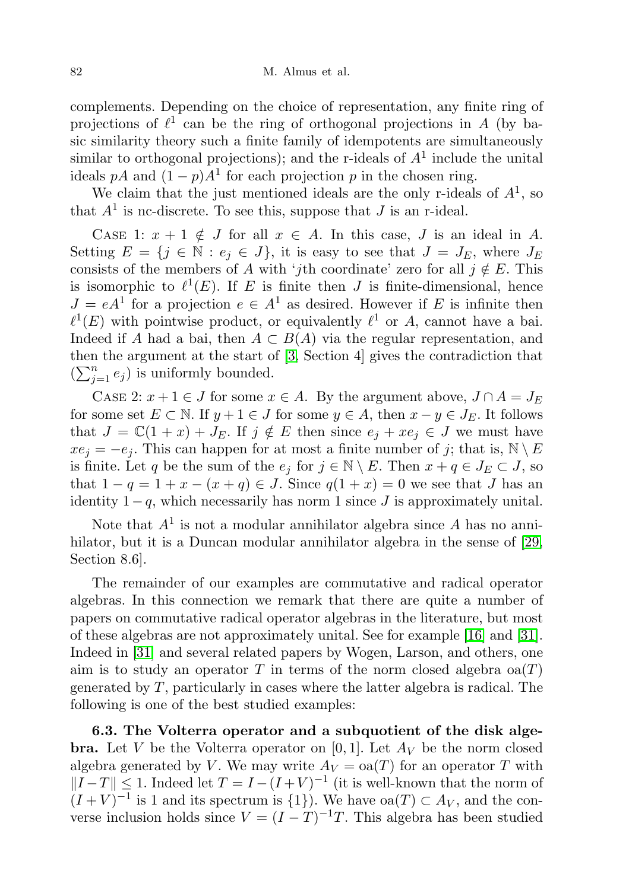complements. Depending on the choice of representation, any finite ring of projections of  $\ell^1$  can be the ring of orthogonal projections in A (by basic similarity theory such a finite family of idempotents are simultaneously similar to orthogonal projections); and the r-ideals of  $A<sup>1</sup>$  include the unital ideals pA and  $(1-p)A<sup>1</sup>$  for each projection p in the chosen ring.

We claim that the just mentioned ideals are the only r-ideals of  $A<sup>1</sup>$ , so that  $A^1$  is nc-discrete. To see this, suppose that J is an r-ideal.

CASE 1:  $x + 1 \notin J$  for all  $x \in A$ . In this case, J is an ideal in A. Setting  $E = \{j \in \mathbb{N} : e_j \in J\}$ , it is easy to see that  $J = J_E$ , where  $J_E$ consists of the members of A with 'jth coordinate' zero for all  $j \notin E$ . This is isomorphic to  $\ell^1(E)$ . If E is finite then J is finite-dimensional, hence  $J = eA<sup>1</sup>$  for a projection  $e \in A<sup>1</sup>$  as desired. However if E is infinite then  $\ell^1(E)$  with pointwise product, or equivalently  $\ell^1$  or A, cannot have a bai. Indeed if A had a bai, then  $A \subset B(A)$  via the regular representation, and then the argument at the start of [\[3,](#page-27-2) Section 4] gives the contradiction that  $(\sum_{j=1}^n e_j)$  is uniformly bounded.

CASE 2:  $x + 1 \in J$  for some  $x \in A$ . By the argument above,  $J \cap A = J_E$ for some set  $E \subset \mathbb{N}$ . If  $y + 1 \in J$  for some  $y \in A$ , then  $x - y \in J_E$ . It follows that  $J = \mathbb{C}(1+x) + J_E$ . If  $j \notin E$  then since  $e_j + xe_j \in J$  we must have  $xe_j = -e_j$ . This can happen for at most a finite number of j; that is,  $\mathbb{N} \setminus E$ is finite. Let q be the sum of the  $e_j$  for  $j \in \mathbb{N} \setminus E$ . Then  $x + q \in J_E \subset J$ , so that  $1 - q = 1 + x - (x + q) \in J$ . Since  $q(1 + x) = 0$  we see that J has an identity  $1-q$ , which necessarily has norm 1 since J is approximately unital.

Note that  $A^1$  is not a modular annihilator algebra since A has no anni-hilator, but it is a Duncan modular annihilator algebra in the sense of [\[29,](#page-28-5) Section 8.6].

The remainder of our examples are commutative and radical operator algebras. In this connection we remark that there are quite a number of papers on commutative radical operator algebras in the literature, but most of these algebras are not approximately unital. See for example [\[16\]](#page-27-13) and [\[31\]](#page-28-14). Indeed in [\[31\]](#page-28-14) and several related papers by Wogen, Larson, and others, one aim is to study an operator T in terms of the norm closed algebra  $\alpha(T)$ generated by  $T$ , particularly in cases where the latter algebra is radical. The following is one of the best studied examples:

6.3. The Volterra operator and a subquotient of the disk alge**bra.** Let V be the Volterra operator on [0, 1]. Let  $A_V$  be the norm closed algebra generated by V. We may write  $A_V = \text{oa}(T)$  for an operator T with  $||I-T|| \leq 1$ . Indeed let  $T = I - (I + V)^{-1}$  (it is well-known that the norm of  $(I+V)^{-1}$  is 1 and its spectrum is  $\{1\}$ ). We have  $oa(T) \subset A_V$ , and the converse inclusion holds since  $V = (I - T)^{-1}T$ . This algebra has been studied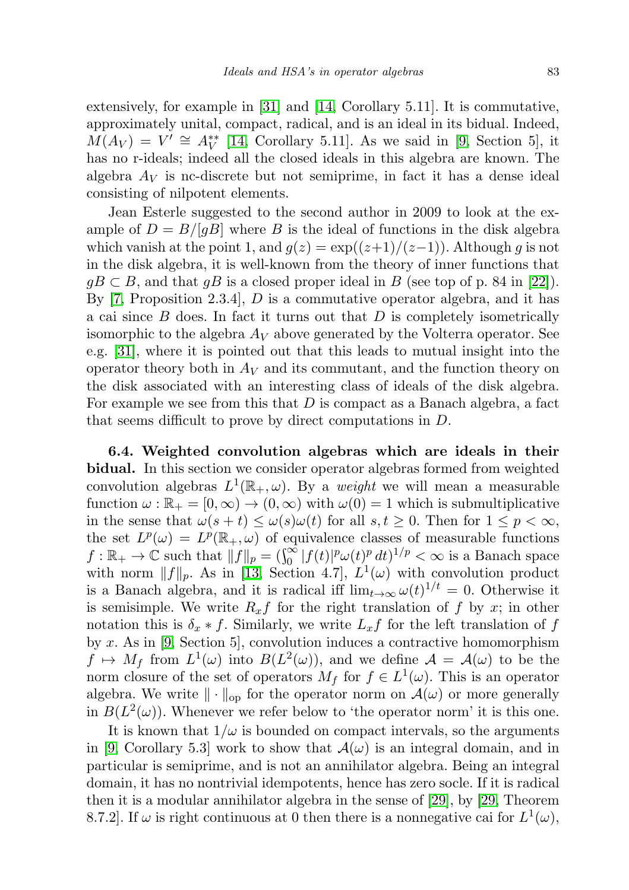extensively, for example in [\[31\]](#page-28-14) and [\[14,](#page-27-16) Corollary 5.11]. It is commutative, approximately unital, compact, radical, and is an ideal in its bidual. Indeed,  $\widehat{M}(A_V) = V' \cong A_V^{**}$  [\[14,](#page-27-16) Corollary 5.11]. As we said in [\[9,](#page-27-5) Section 5], it has no r-ideals; indeed all the closed ideals in this algebra are known. The algebra  $A_V$  is nc-discrete but not semiprime, in fact it has a dense ideal consisting of nilpotent elements.

Jean Esterle suggested to the second author in 2009 to look at the example of  $D = B/[gB]$  where B is the ideal of functions in the disk algebra which vanish at the point 1, and  $g(z) = \exp((z+1)/(z-1))$ . Although g is not in the disk algebra, it is well-known from the theory of inner functions that  $gB \subset B$ , and that  $gB$  is a closed proper ideal in B (see top of p. 84 in [\[22\]](#page-28-15)). By  $[7,$  Proposition 2.3.4, D is a commutative operator algebra, and it has a cai since  $B$  does. In fact it turns out that  $D$  is completely isometrically isomorphic to the algebra  $A_V$  above generated by the Volterra operator. See e.g. [\[31\]](#page-28-14), where it is pointed out that this leads to mutual insight into the operator theory both in  $A_V$  and its commutant, and the function theory on the disk associated with an interesting class of ideals of the disk algebra. For example we see from this that  $D$  is compact as a Banach algebra, a fact that seems difficult to prove by direct computations in D.

<span id="page-18-0"></span>6.4. Weighted convolution algebras which are ideals in their bidual. In this section we consider operator algebras formed from weighted convolution algebras  $L^1(\mathbb{R}_+, \omega)$ . By a *weight* we will mean a measurable function  $\omega : \mathbb{R}_+ = [0, \infty) \to (0, \infty)$  with  $\omega(0) = 1$  which is submultiplicative in the sense that  $\omega(s+t) \leq \omega(s)\omega(t)$  for all  $s, t \geq 0$ . Then for  $1 \leq p < \infty$ , the set  $L^p(\omega) = L^p(\mathbb{R}_+, \omega)$  of equivalence classes of measurable functions  $f: \mathbb{R}_+ \to \mathbb{C}$  such that  $||f||_p = (\int_0^\infty |f(t)|^p \omega(t)^p dt)^{1/p} < \infty$  is a Banach space with norm  $||f||_p$ . As in [\[13,](#page-27-11) Section 4.7],  $L^1(\omega)$  with convolution product is a Banach algebra, and it is radical iff  $\lim_{t\to\infty} \omega(t)^{1/t} = 0$ . Otherwise it is semisimple. We write  $R_x f$  for the right translation of f by x; in other notation this is  $\delta_x * f$ . Similarly, we write  $L_x f$  for the left translation of f by  $x$ . As in [\[9,](#page-27-5) Section 5], convolution induces a contractive homomorphism  $f \mapsto M_f$  from  $L^1(\omega)$  into  $B(L^2(\omega))$ , and we define  $\mathcal{A} = \mathcal{A}(\omega)$  to be the norm closure of the set of operators  $M_f$  for  $f \in L^1(\omega)$ . This is an operator algebra. We write  $\|\cdot\|_{\infty}$  for the operator norm on  $\mathcal{A}(\omega)$  or more generally in  $B(L^2(\omega))$ . Whenever we refer below to 'the operator norm' it is this one.

It is known that  $1/\omega$  is bounded on compact intervals, so the arguments in [\[9,](#page-27-5) Corollary 5.3] work to show that  $\mathcal{A}(\omega)$  is an integral domain, and in particular is semiprime, and is not an annihilator algebra. Being an integral domain, it has no nontrivial idempotents, hence has zero socle. If it is radical then it is a modular annihilator algebra in the sense of [\[29\]](#page-28-5), by [\[29,](#page-28-5) Theorem 8.7.2. If  $\omega$  is right continuous at 0 then there is a nonnegative cai for  $L^1(\omega)$ ,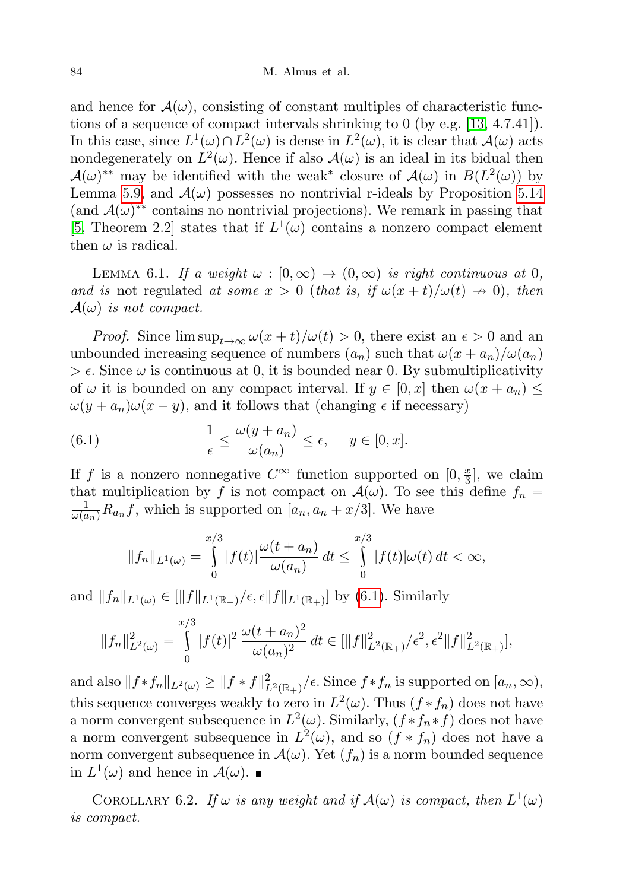and hence for  $\mathcal{A}(\omega)$ , consisting of constant multiples of characteristic functions of a sequence of compact intervals shrinking to 0 (by e.g. [\[13,](#page-27-11) 4.7.41]). In this case, since  $L^1(\omega) \cap L^2(\omega)$  is dense in  $L^2(\omega)$ , it is clear that  $\mathcal{A}(\omega)$  acts nondegenerately on  $L^2(\omega)$ . Hence if also  $\mathcal{A}(\omega)$  is an ideal in its bidual then  $\mathcal{A}(\omega)^{**}$  may be identified with the weak<sup>\*</sup> closure of  $\mathcal{A}(\omega)$  in  $B(L^2(\omega))$  by Lemma [5.9,](#page-12-0) and  $\mathcal{A}(\omega)$  possesses no nontrivial r-ideals by Proposition [5.14](#page-15-0) (and  $\mathcal{A}(\omega)^{**}$  contains no nontrivial projections). We remark in passing that [\[5,](#page-27-17) Theorem 2.2] states that if  $L^1(\omega)$  contains a nonzero compact element then  $\omega$  is radical.

<span id="page-19-1"></span>LEMMA 6.1. If a weight  $\omega : [0, \infty) \to (0, \infty)$  is right continuous at 0, and is not regulated at some  $x > 0$  (that is, if  $\omega(x+t)/\omega(t) \to 0$ ), then  $\mathcal{A}(\omega)$  is not compact.

*Proof.* Since  $\limsup_{t\to\infty} \omega(x+t)/\omega(t) > 0$ , there exist an  $\epsilon > 0$  and an unbounded increasing sequence of numbers  $(a_n)$  such that  $\omega(x + a_n)/\omega(a_n)$  $\geq \epsilon$ . Since  $\omega$  is continuous at 0, it is bounded near 0. By submultiplicativity of  $\omega$  it is bounded on any compact interval. If  $y \in [0, x]$  then  $\omega(x + a_n) \leq$  $\omega(y + a_n)\omega(x - y)$ , and it follows that (changing  $\epsilon$  if necessary)

(6.1) 
$$
\frac{1}{\epsilon} \leq \frac{\omega(y + a_n)}{\omega(a_n)} \leq \epsilon, \quad y \in [0, x].
$$

If f is a nonzero nonnegative  $C^{\infty}$  function supported on  $[0, \frac{\pi}{3}]$  $\frac{x}{3}$ , we claim that multiplication by f is not compact on  $\mathcal{A}(\omega)$ . To see this define  $f_n =$  $\frac{1}{\omega(a_n)}R_{a_n}f$ , which is supported on  $[a_n, a_n + x/3]$ . We have

<span id="page-19-0"></span>
$$
||f_n||_{L^1(\omega)} = \int\limits_0^{x/3} |f(t)| \frac{\omega(t+a_n)}{\omega(a_n)} dt \leq \int\limits_0^{x/3} |f(t)| \omega(t) dt < \infty,
$$

and  $||f_n||_{L^1(\omega)} \in ||f||_{L^1(\mathbb{R}_+)}/\epsilon, \epsilon ||f||_{L^1(\mathbb{R}_+)}]$  by [\(6.1\)](#page-19-0). Similarly

$$
||f_n||_{L^2(\omega)}^2 = \int_0^{x/3} |f(t)|^2 \frac{\omega(t+a_n)^2}{\omega(a_n)^2} dt \in [||f||_{L^2(\mathbb{R}_+)}^2/\epsilon^2, \epsilon^2 ||f||_{L^2(\mathbb{R}_+)}^2],
$$

and also  $|| f * f_n ||_{L^2(\omega)} \ge || f * f ||^2_{L^2(\mathbb{R}_+)} / \epsilon$ . Since  $f * f_n$  is supported on  $[a_n, \infty)$ , this sequence converges weakly to zero in  $L^2(\omega)$ . Thus  $(f * f_n)$  does not have a norm convergent subsequence in  $L^2(\omega)$ . Similarly,  $(f * f_n * f)$  does not have a norm convergent subsequence in  $L^2(\omega)$ , and so  $(f * f_n)$  does not have a norm convergent subsequence in  $\mathcal{A}(\omega)$ . Yet  $(f_n)$  is a norm bounded sequence in  $L^1(\omega)$  and hence in  $\mathcal{A}(\omega)$ .

<span id="page-19-2"></span>COROLLARY 6.2. If  $\omega$  is any weight and if  $\mathcal{A}(\omega)$  is compact, then  $L^1(\omega)$ is compact.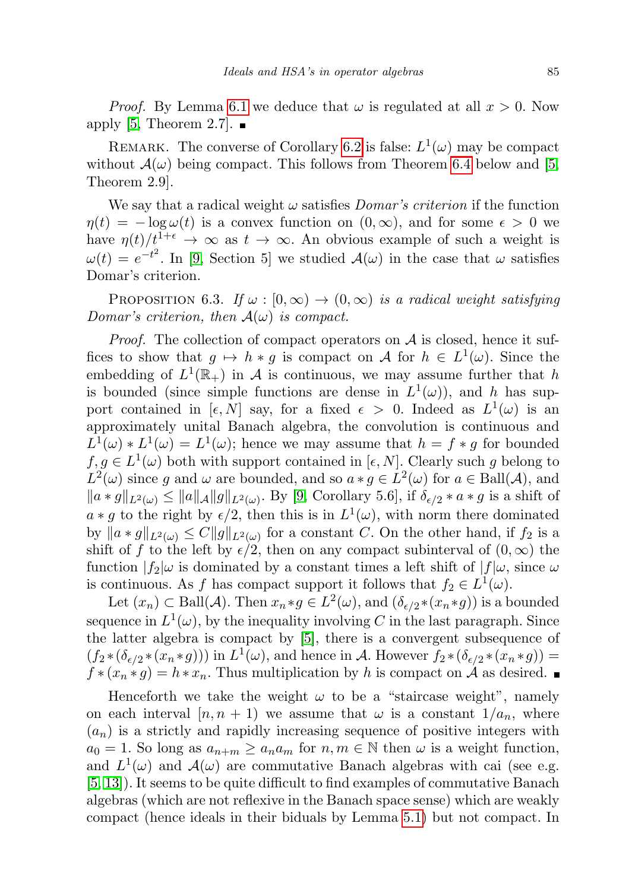*Proof.* By Lemma [6.1](#page-19-1) we deduce that  $\omega$  is regulated at all  $x > 0$ . Now apply [\[5,](#page-27-17) Theorem 2.7].  $\blacksquare$ 

REMARK. The converse of Corollary [6.2](#page-19-2) is false:  $L^1(\omega)$  may be compact without  $\mathcal{A}(\omega)$  being compact. This follows from Theorem [6.4](#page-21-0) below and [\[5,](#page-27-17) Theorem 2.9].

We say that a radical weight  $\omega$  satisfies *Domar's criterion* if the function  $\eta(t) = -\log \omega(t)$  is a convex function on  $(0, \infty)$ , and for some  $\epsilon > 0$  we have  $\eta(t)/t^{1+\epsilon} \to \infty$  as  $t \to \infty$ . An obvious example of such a weight is  $\omega(t) = e^{-t^2}$ . In [\[9,](#page-27-5) Section 5] we studied  $\mathcal{A}(\omega)$  in the case that  $\omega$  satisfies Domar's criterion.

<span id="page-20-0"></span>PROPOSITION 6.3. If  $\omega : [0, \infty) \to (0, \infty)$  is a radical weight satisfying Domar's criterion, then  $A(\omega)$  is compact.

*Proof.* The collection of compact operators on  $A$  is closed, hence it suffices to show that  $g \mapsto h * g$  is compact on A for  $h \in L^1(\omega)$ . Since the embedding of  $L^1(\mathbb{R}_+)$  in A is continuous, we may assume further that h is bounded (since simple functions are dense in  $L^1(\omega)$ ), and h has support contained in  $[\epsilon, N]$  say, for a fixed  $\epsilon > 0$ . Indeed as  $L^1(\omega)$  is an approximately unital Banach algebra, the convolution is continuous and  $L^1(\omega) * L^1(\omega) = L^1(\omega)$ ; hence we may assume that  $h = f * g$  for bounded  $f, g \in L^1(\omega)$  both with support contained in [ $\epsilon, N$ ]. Clearly such g belong to  $L^2(\omega)$  since g and  $\omega$  are bounded, and so  $a * g \in L^2(\omega)$  for  $a \in \text{Ball}(\mathcal{A})$ , and  $||a * g||_{L^2(\omega)} \le ||a||_{\mathcal{A}} ||g||_{L^2(\omega)}$ . By [\[9,](#page-27-5) Corollary 5.6], if  $\delta_{\epsilon/2} * a * g$  is a shift of  $a * g$  to the right by  $\epsilon/2$ , then this is in  $L^1(\omega)$ , with norm there dominated by  $||a * g||_{L^2(\omega)} \leq C||g||_{L^2(\omega)}$  for a constant C. On the other hand, if  $f_2$  is a shift of f to the left by  $\epsilon/2$ , then on any compact subinterval of  $(0,\infty)$  the function  $|f_2|\omega$  is dominated by a constant times a left shift of  $|f|\omega$ , since  $\omega$ is continuous. As f has compact support it follows that  $f_2 \in L^1(\omega)$ .

Let  $(x_n) \subset \text{Ball}(\mathcal{A})$ . Then  $x_n * g \in L^2(\omega)$ , and  $(\delta_{\epsilon/2} * (x_n * g))$  is a bounded sequence in  $L^1(\omega)$ , by the inequality involving C in the last paragraph. Since the latter algebra is compact by [\[5\]](#page-27-17), there is a convergent subsequence of  $(f_2 * (\delta_{\epsilon/2} * (x_n * g)))$  in  $L^1(\omega)$ , and hence in A. However  $f_2 * (\delta_{\epsilon/2} * (x_n * g))$  =  $f * (x_n * g) = h * x_n$ . Thus multiplication by h is compact on  $\mathcal A$  as desired.

Henceforth we take the weight  $\omega$  to be a "staircase weight", namely on each interval  $[n, n + 1]$  we assume that  $\omega$  is a constant  $1/a_n$ , where  $(a_n)$  is a strictly and rapidly increasing sequence of positive integers with  $a_0 = 1$ . So long as  $a_{n+m} \ge a_n a_m$  for  $n, m \in \mathbb{N}$  then  $\omega$  is a weight function, and  $L^1(\omega)$  and  $\mathcal{A}(\omega)$  are commutative Banach algebras with cai (see e.g. [\[5,](#page-27-17) [13\]](#page-27-11)). It seems to be quite difficult to find examples of commutative Banach algebras (which are not reflexive in the Banach space sense) which are weakly compact (hence ideals in their biduals by Lemma [5.1\)](#page-8-0) but not compact. In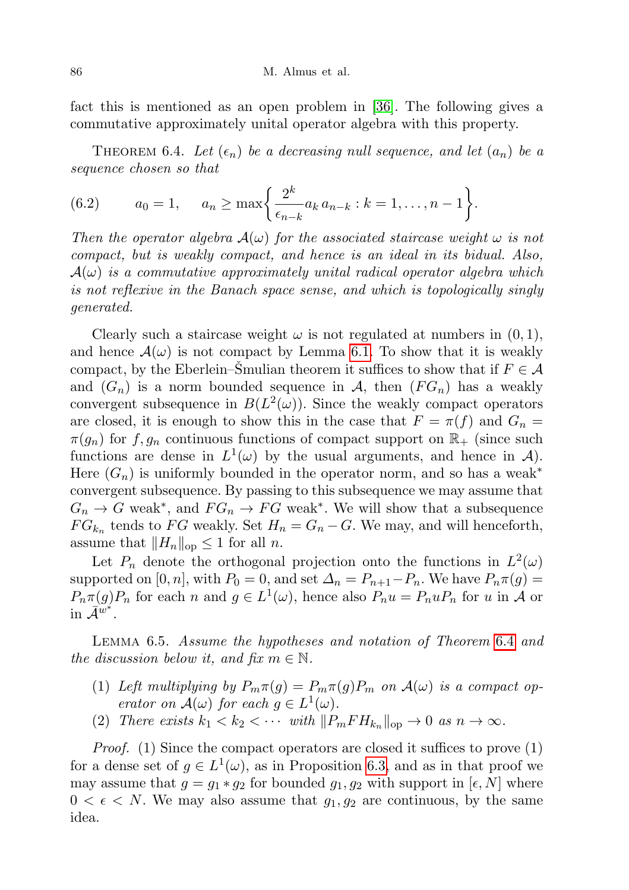fact this is mentioned as an open problem in [\[36\]](#page-28-2). The following gives a commutative approximately unital operator algebra with this property.

<span id="page-21-0"></span>THEOREM 6.4. Let  $(\epsilon_n)$  be a decreasing null sequence, and let  $(a_n)$  be a sequence chosen so that

<span id="page-21-1"></span>(6.2) 
$$
a_0 = 1, \quad a_n \ge \max\left\{\frac{2^k}{\epsilon_{n-k}}a_k a_{n-k} : k = 1, \ldots, n-1\right\}.
$$

Then the operator algebra  $\mathcal{A}(\omega)$  for the associated staircase weight  $\omega$  is not compact, but is weakly compact, and hence is an ideal in its bidual. Also,  $A(\omega)$  is a commutative approximately unital radical operator algebra which is not reflexive in the Banach space sense, and which is topologically singly generated.

Clearly such a staircase weight  $\omega$  is not regulated at numbers in  $(0, 1)$ , and hence  $\mathcal{A}(\omega)$  is not compact by Lemma [6.1.](#page-19-1) To show that it is weakly compact, by the Eberlein–Smulian theorem it suffices to show that if  $F \in \mathcal{A}$ and  $(G_n)$  is a norm bounded sequence in A, then  $(FG_n)$  has a weakly convergent subsequence in  $B(L^2(\omega))$ . Since the weakly compact operators are closed, it is enough to show this in the case that  $F = \pi(f)$  and  $G_n =$  $\pi(q_n)$  for f,  $q_n$  continuous functions of compact support on  $\mathbb{R}_+$  (since such functions are dense in  $L^1(\omega)$  by the usual arguments, and hence in  $\mathcal{A}$ ). Here  $(G_n)$  is uniformly bounded in the operator norm, and so has a weak<sup>\*</sup> convergent subsequence. By passing to this subsequence we may assume that  $G_n \to G$  weak<sup>\*</sup>, and  $FG_n \to FG$  weak<sup>\*</sup>. We will show that a subsequence  $FG_{k_n}$  tends to FG weakly. Set  $H_n = G_n - G$ . We may, and will henceforth, assume that  $||H_n||_{op} \leq 1$  for all n.

Let  $P_n$  denote the orthogonal projection onto the functions in  $L^2(\omega)$ supported on [0, n], with  $P_0 = 0$ , and set  $\Delta_n = P_{n+1} - P_n$ . We have  $P_n \pi(g) =$  $P_n\pi(g)P_n$  for each n and  $g \in L^1(\omega)$ , hence also  $P_nu = P_nuP_n$  for u in A or  $\sin \bar{A}^{\breve{w}^*}.$ 

<span id="page-21-2"></span>Lemma 6.5. Assume the hypotheses and notation of Theorem [6.4](#page-21-0) and the discussion below it, and fix  $m \in \mathbb{N}$ .

- (1) Left multiplying by  $P_m \pi(g) = P_m \pi(g) P_m$  on  $\mathcal{A}(\omega)$  is a compact operator on  $\mathcal{A}(\omega)$  for each  $g \in L^1(\omega)$ .
- (2) There exists  $k_1 < k_2 < \cdots$  with  $||P_mFH_{k_n}||_{\text{op}} \to 0$  as  $n \to \infty$ .

Proof. (1) Since the compact operators are closed it suffices to prove (1) for a dense set of  $g \in L^1(\omega)$ , as in Proposition [6.3,](#page-20-0) and as in that proof we may assume that  $g = g_1 * g_2$  for bounded  $g_1, g_2$  with support in  $[\epsilon, N]$  where  $0 < \epsilon < N$ . We may also assume that  $g_1, g_2$  are continuous, by the same idea.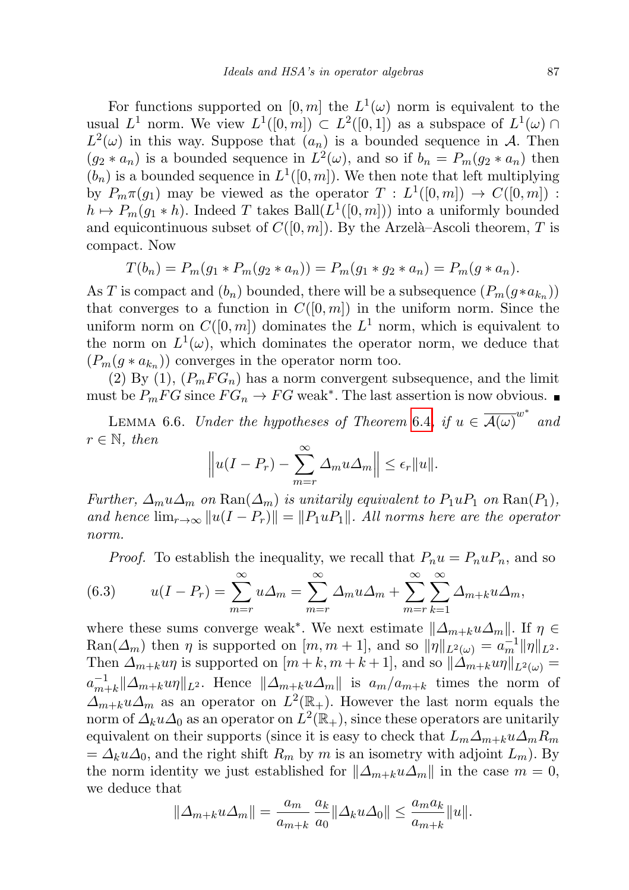For functions supported on  $[0, m]$  the  $L^1(\omega)$  norm is equivalent to the usual  $L^1$  norm. We view  $L^1([0, m]) \subset L^2([0, 1])$  as a subspace of  $L^1(\omega) \cap$  $L^2(\omega)$  in this way. Suppose that  $(a_n)$  is a bounded sequence in A. Then  $(g_2 * a_n)$  is a bounded sequence in  $L^2(\omega)$ , and so if  $b_n = P_m(g_2 * a_n)$  then  $(b_n)$  is a bounded sequence in  $L^1([0, m])$ . We then note that left multiplying by  $P_m \pi(g_1)$  may be viewed as the operator  $T : L^1([0,m]) \to C([0,m])$ :  $h \mapsto P_m(g_1 * h)$ . Indeed T takes Ball $(L^1([0,m]))$  into a uniformly bounded and equicontinuous subset of  $C([0, m])$ . By the Arzelà–Ascoli theorem, T is compact. Now

$$
T(b_n) = P_m(g_1 * P_m(g_2 * a_n)) = P_m(g_1 * g_2 * a_n) = P_m(g * a_n).
$$

As T is compact and  $(b_n)$  bounded, there will be a subsequence  $(P_m(g*a_{k_n}))$ that converges to a function in  $C([0, m])$  in the uniform norm. Since the uniform norm on  $C([0,m])$  dominates the  $L^1$  norm, which is equivalent to the norm on  $L^1(\omega)$ , which dominates the operator norm, we deduce that  $(P_m(g * a_{k_n}))$  converges in the operator norm too.

(2) By (1),  $(P_m FG_n)$  has a norm convergent subsequence, and the limit must be  $P_mFG$  since  $FG_n \to FG$  weak<sup>\*</sup>. The last assertion is now obvious.

<span id="page-22-1"></span>LEMMA 6.6. Under the hypotheses of Theorem [6.4](#page-21-0), if  $u \in \overline{\mathcal{A}(\omega)}^{w^*}$  and  $r \in \mathbb{N}$ , then

$$
\left\|u(I-P_r)-\sum_{m=r}^{\infty}\Delta_mu\Delta_m\right\|\leq\epsilon_r\|u\|.
$$

Further,  $\Delta_m u \Delta_m$  on  $\text{Ran}(\Delta_m)$  is unitarily equivalent to  $P_1 u P_1$  on  $\text{Ran}(P_1)$ , and hence  $\lim_{r\to\infty} ||u(I - P_r)|| = ||P_1uP_1||$ . All norms here are the operator norm.

<span id="page-22-0"></span>*Proof.* To establish the inequality, we recall that  $P_n u = P_n u P_n$ , and so

(6.3) 
$$
u(I - P_r) = \sum_{m=r}^{\infty} u \Delta_m = \sum_{m=r}^{\infty} \Delta_m u \Delta_m + \sum_{m=r}^{\infty} \sum_{k=1}^{\infty} \Delta_{m+k} u \Delta_m,
$$

where these sums converge weak<sup>\*</sup>. We next estimate  $||\Delta_{m+k}u\Delta_m||$ . If  $\eta \in$  $\text{Ran}(\Delta_m)$  then  $\eta$  is supported on  $[m, m+1]$ , and so  $\|\eta\|_{L^2(\omega)} = a_m^{-1} \|\eta\|_{L^2}.$ Then  $\Delta_{m+k}u\eta$  is supported on  $[m+k,m+k+1]$ , and so  $\|\Delta_{m+k}u\eta\|_{L^2(\omega)} =$  $a_{m}^{-1}$  $\|A_{m+k}\|A_{m+k}u\eta\|_{L^2}$ . Hence  $\|\Delta_{m+k}u\Delta_m\|$  is  $a_m/a_{m+k}$  times the norm of  $\Delta_{m+k} u \Delta_m$  as an operator on  $L^2(\mathbb{R}_+)$ . However the last norm equals the norm of  $\varDelta_k u \varDelta_0$  as an operator on  $\dot{L}^2(\mathbb{R}_+),$  since these operators are unitarily equivalent on their supports (since it is easy to check that  $L_m\Delta_{m+k}u\Delta_mR_m$  $=\Delta_k u \Delta_0$ , and the right shift  $R_m$  by m is an isometry with adjoint  $L_m$ ). By the norm identity we just established for  $\|\Delta_{m+k}u\Delta_m\|$  in the case  $m = 0$ , we deduce that

$$
\|\Delta_{m+k} u \Delta_m\| = \frac{a_m}{a_{m+k}} \frac{a_k}{a_0} \|\Delta_k u \Delta_0\| \le \frac{a_m a_k}{a_{m+k}} \|u\|.
$$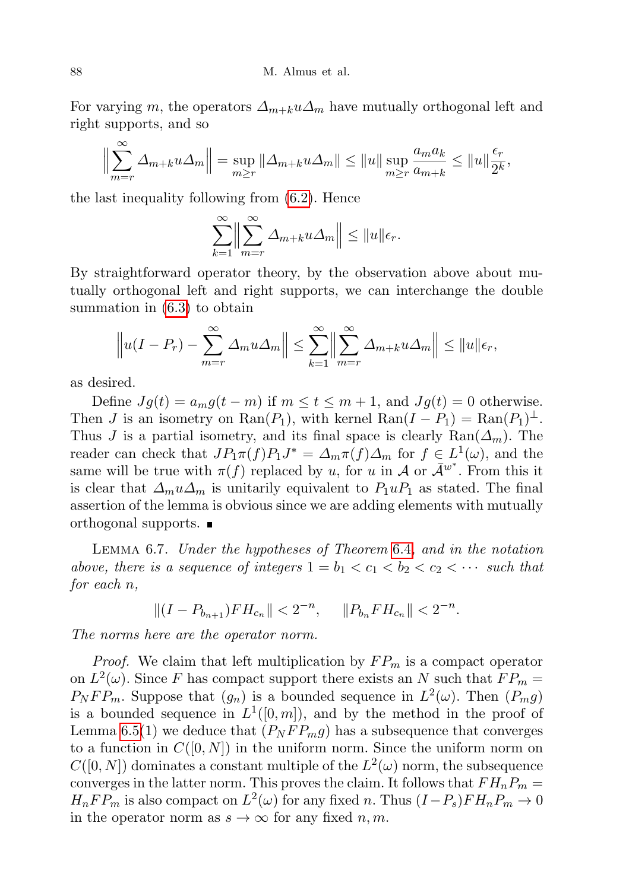For varying m, the operators  $\Delta_{m+k} u \Delta_m$  have mutually orthogonal left and right supports, and so

$$
\left\|\sum_{m=r}^{\infty} \Delta_{m+k} u \Delta_m\right\| = \sup_{m\geq r} \|\Delta_{m+k} u \Delta_m\| \leq \|u\| \sup_{m\geq r} \frac{a_m a_k}{a_{m+k}} \leq \|u\| \frac{\epsilon_r}{2^k},
$$

the last inequality following from [\(6.2\)](#page-21-1). Hence

$$
\sum_{k=1}^{\infty} \Biggl\|\sum_{m=r}^{\infty} \Delta_{m+k} u \Delta_m\Biggr\| \le \|u\| \epsilon_r.
$$

By straightforward operator theory, by the observation above about mutually orthogonal left and right supports, we can interchange the double summation in [\(6.3\)](#page-22-0) to obtain

$$
\left\|u(I-P_r)-\sum_{m=r}^{\infty}\Delta_mu\Delta_m\right\|\leq\sum_{k=1}^{\infty}\left\|\sum_{m=r}^{\infty}\Delta_{m+k}u\Delta_m\right\|\leq\|u\|\epsilon_r,
$$

as desired.

Define  $Jg(t) = a_m g(t - m)$  if  $m \le t \le m + 1$ , and  $Jg(t) = 0$  otherwise. Then *J* is an isometry on  $\text{Ran}(P_1)$ , with kernel  $\text{Ran}(I - P_1) = \text{Ran}(P_1)^{\perp}$ . Thus J is a partial isometry, and its final space is clearly  $\text{Ran}(\Delta_m)$ . The reader can check that  $JP_1\pi(f)P_1J^* = \Delta_m\pi(f)\Delta_m$  for  $f \in L^1(\omega)$ , and the same will be true with  $\pi(f)$  replaced by u, for u in A or  $\bar{A}^{w^*}$ . From this it is clear that  $\Delta_m u \Delta_m$  is unitarily equivalent to  $P_1 u P_1$  as stated. The final assertion of the lemma is obvious since we are adding elements with mutually orthogonal supports.

<span id="page-23-0"></span>Lemma 6.7. Under the hypotheses of Theorem [6.4](#page-21-0), and in the notation above, there is a sequence of integers  $1 = b_1 < c_1 < b_2 < c_2 < \cdots$  such that for each n,

$$
||(I - P_{b_{n+1}})FH_{c_n}|| < 2^{-n}, \quad ||P_{b_n}FH_{c_n}|| < 2^{-n}.
$$

The norms here are the operator norm.

*Proof.* We claim that left multiplication by  $FP_m$  is a compact operator on  $L^2(\omega)$ . Since F has compact support there exists an N such that  $FP_m =$  $P_NFP_m$ . Suppose that  $(g_n)$  is a bounded sequence in  $L^2(\omega)$ . Then  $(P_m g)$ is a bounded sequence in  $L^1([0,m])$ , and by the method in the proof of Lemma [6.5\(](#page-21-2)1) we deduce that  $(P_N F P_m g)$  has a subsequence that converges to a function in  $C([0, N])$  in the uniform norm. Since the uniform norm on  $C([0,N])$  dominates a constant multiple of the  $L^2(\omega)$  norm, the subsequence converges in the latter norm. This proves the claim. It follows that  $FH_nP_m =$  $H_nFP_m$  is also compact on  $L^2(\omega)$  for any fixed n. Thus  $(I-P_s)FH_nP_m \to 0$ in the operator norm as  $s \to \infty$  for any fixed  $n, m$ .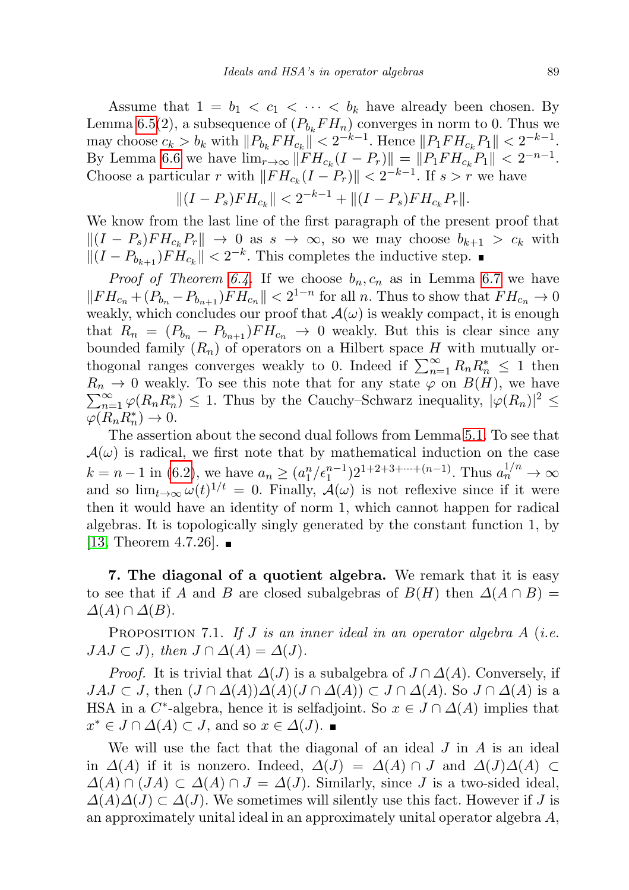Assume that  $1 = b_1 < c_1 < \cdots < b_k$  have already been chosen. By Lemma [6.5\(](#page-21-2)2), a subsequence of  $(P_{b_k}FH_n)$  converges in norm to 0. Thus we may choose  $c_k > b_k$  with  $||P_{b_k}FH_{c_k}|| < 2^{-k-1}$ . Hence  $||P_1FH_{c_k}P_1|| < 2^{-k-1}$ . By Lemma [6.6](#page-22-1) we have  $\lim_{r \to \infty} ||FH_{c_k}(I - P_r)|| = ||P_1FH_{c_k}P_1|| < 2^{-n-1}$ . Choose a particular r with  $||FH_{c_k}(I - P_r)|| < 2^{-k-1}$ . If  $s > r$  we have

$$
||(I - P_s)FH_{c_k}|| < 2^{-k-1} + ||(I - P_s)FH_{c_k}P_r||.
$$

We know from the last line of the first paragraph of the present proof that  $||(I - P_s)FH_{c_k}P_r|| \to 0$  as  $s \to \infty$ , so we may choose  $b_{k+1} > c_k$  with  $||(I - P_{b_{k+1}})FH_{c_k}|| < 2^{-k}$ . This completes the inductive step.

*Proof of Theorem [6.4.](#page-21-0)* If we choose  $b_n, c_n$  as in Lemma [6.7](#page-23-0) we have  $||FH_{c_n} + (P_{b_n} - P_{b_{n+1}})FH_{c_n}|| < 2^{1-n}$  for all n. Thus to show that  $FH_{c_n} \to 0$ weakly, which concludes our proof that  $\mathcal{A}(\omega)$  is weakly compact, it is enough that  $R_n = (P_{b_n} - P_{b_{n+1}})FH_{c_n} \to 0$  weakly. But this is clear since any bounded family  $(R_n)$  of operators on a Hilbert space H with mutually orthogonal ranges converges weakly to 0. Indeed if  $\sum_{n=1}^{\infty} R_n R_n^* \leq 1$  then  $\sum_{n=1}^{\infty} \varphi(R_n R_n^*) \leq 1$ . Thus by the Cauchy–Schwarz inequality,  $|\varphi(R_n)|^2 \leq$  $R_n \to 0$  weakly. To see this note that for any state  $\varphi$  on  $B(H)$ , we have  $\varphi(R_n R_n^*) \to 0.$ 

The assertion about the second dual follows from Lemma [5.1.](#page-8-0) To see that  $\mathcal{A}(\omega)$  is radical, we first note that by mathematical induction on the case  $k = n - 1$  in [\(6.2\)](#page-21-1), we have  $a_n \ge (a_1^n / \epsilon_1^{n-1}) 2^{1+2+3+\cdots+(n-1)}$ . Thus  $a_n^{1/n} \to \infty$ and so  $\lim_{t\to\infty}\omega(t)^{1/t} = 0$ . Finally,  $\mathcal{A}(\omega)$  is not reflexive since if it were then it would have an identity of norm 1, which cannot happen for radical algebras. It is topologically singly generated by the constant function 1, by [\[13,](#page-27-11) Theorem 4.7.26].  $\blacksquare$ 

7. The diagonal of a quotient algebra. We remark that it is easy to see that if A and B are closed subalgebras of  $B(H)$  then  $\Delta(A \cap B) =$  $\Delta(A) \cap \Delta(B)$ .

<span id="page-24-0"></span>PROPOSITION 7.1. If  $J$  is an inner ideal in an operator algebra  $A$  (i.e.  $JAJ \subset J$ , then  $J \cap \Delta(A) = \Delta(J)$ .

*Proof.* It is trivial that  $\Delta(J)$  is a subalgebra of  $J \cap \Delta(A)$ . Conversely, if  $JAJ \subset J$ , then  $(J \cap \Delta(A))\Delta(A)(J \cap \Delta(A)) \subset J \cap \Delta(A)$ . So  $J \cap \Delta(A)$  is a HSA in a C<sup>\*</sup>-algebra, hence it is selfadjoint. So  $x \in J \cap \Delta(A)$  implies that  $x^* \in J \cap \Delta(A) \subset J$ , and so  $x \in \Delta(J)$ .

We will use the fact that the diagonal of an ideal  $J$  in  $A$  is an ideal in  $\Delta(A)$  if it is nonzero. Indeed,  $\Delta(J) = \Delta(A) \cap J$  and  $\Delta(J) \Delta(A) \subset$  $\Delta(A) \cap (JA) \subset \Delta(A) \cap J = \Delta(J)$ . Similarly, since J is a two-sided ideal,  $\Delta(A)\Delta(J) \subset \Delta(J)$ . We sometimes will silently use this fact. However if J is an approximately unital ideal in an approximately unital operator algebra A,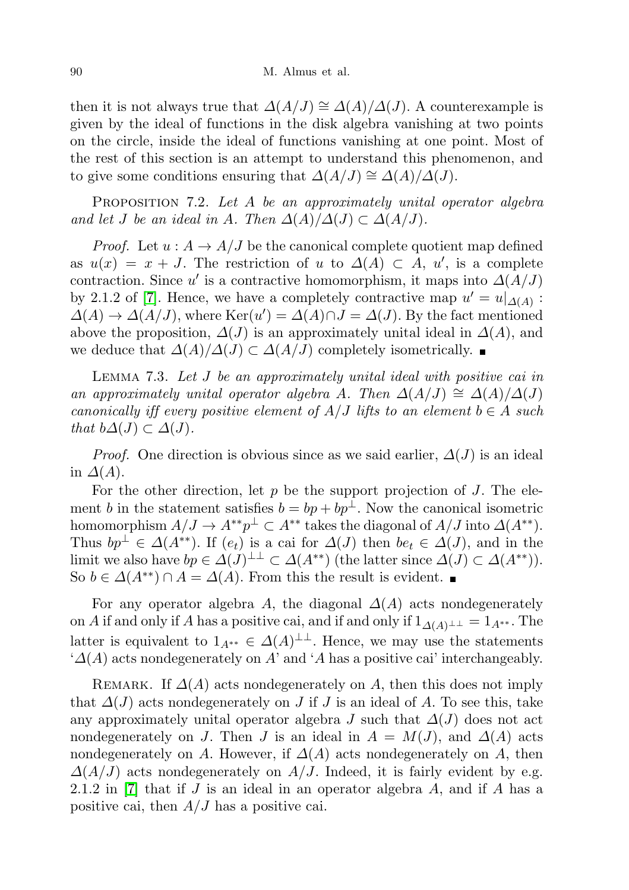then it is not always true that  $\Delta(A/J) \cong \Delta(A)/\Delta(J)$ . A counterexample is given by the ideal of functions in the disk algebra vanishing at two points on the circle, inside the ideal of functions vanishing at one point. Most of the rest of this section is an attempt to understand this phenomenon, and to give some conditions ensuring that  $\Delta(A/J) \cong \Delta(A)/\Delta(J)$ .

<span id="page-25-1"></span>PROPOSITION 7.2. Let A be an approximately unital operator algebra and let J be an ideal in A. Then  $\Delta(A)/\Delta(J) \subset \Delta(A/J)$ .

*Proof.* Let  $u : A \to A/J$  be the canonical complete quotient map defined as  $u(x) = x + J$ . The restriction of u to  $\Delta(A) \subset A$ , u', is a complete contraction. Since u' is a contractive homomorphism, it maps into  $\Delta(A/J)$ by 2.1.2 of [\[7\]](#page-27-1). Hence, we have a completely contractive map  $u' = u|_{\Delta(A)}$ :  $\Delta(A) \to \Delta(A/J)$ , where  $\text{Ker}(u') = \Delta(A) \cap J = \Delta(J)$ . By the fact mentioned above the proposition,  $\Delta(J)$  is an approximately unital ideal in  $\Delta(A)$ , and we deduce that  $\Delta(A)/\Delta(J) \subset \Delta(A/J)$  completely isometrically.  $\blacksquare$ 

LEMMA 7.3. Let J be an approximately unital ideal with positive cai in an approximately unital operator algebra A. Then  $\Delta(A/J) \cong \Delta(A)/\Delta(J)$ canonically iff every positive element of  $A/J$  lifts to an element  $b \in A$  such that  $b\Delta(J) \subset \Delta(J)$ .

*Proof.* One direction is obvious since as we said earlier,  $\Delta(J)$  is an ideal in  $\Delta(A)$ .

For the other direction, let  $p$  be the support projection of  $J$ . The element b in the statement satisfies  $b = bp + bp^{\perp}$ . Now the canonical isometric homomorphism  $A/J \to A^{**}p^{\perp} \subset A^{**}$  takes the diagonal of  $A/J$  into  $\Delta(A^{**})$ . Thus  $bp^{\perp} \in \Delta(A^{**})$ . If  $(e_t)$  is a cai for  $\Delta(J)$  then  $be_t \in \Delta(J)$ , and in the limit we also have  $bp \in \Delta(J)^{\perp \perp} \subset \Delta(A^{**})$  (the latter since  $\Delta(J) \subset \Delta(A^{**})$ ). So  $b \in \Delta(A^{**}) \cap A = \Delta(A)$ . From this the result is evident.  $\blacksquare$ 

For any operator algebra A, the diagonal  $\Delta(A)$  acts nondegenerately on A if and only if A has a positive cai, and if and only if  $1_{\Delta(A)\perp\perp} = 1_{A^{**}}$ . The latter is equivalent to  $1_{A^{**}} \in \Delta(A)^{\perp\perp}$ . Hence, we may use the statements  $^{\circ}\Delta(A)$  acts nondegenerately on A' and  $^{\circ}A$  has a positive cai' interchangeably.

<span id="page-25-0"></span>REMARK. If  $\Delta(A)$  acts nondegenerately on A, then this does not imply that  $\Delta(J)$  acts nondegenerately on J if J is an ideal of A. To see this, take any approximately unital operator algebra J such that  $\Delta(J)$  does not act nondegenerately on J. Then J is an ideal in  $A = M(J)$ , and  $\Delta(A)$  acts nondegenerately on A. However, if  $\Delta(A)$  acts nondegenerately on A, then  $\Delta(A/J)$  acts nondegenerately on  $A/J$ . Indeed, it is fairly evident by e.g. 2.1.2 in [\[7\]](#page-27-1) that if J is an ideal in an operator algebra A, and if A has a positive cai, then  $A/J$  has a positive cai.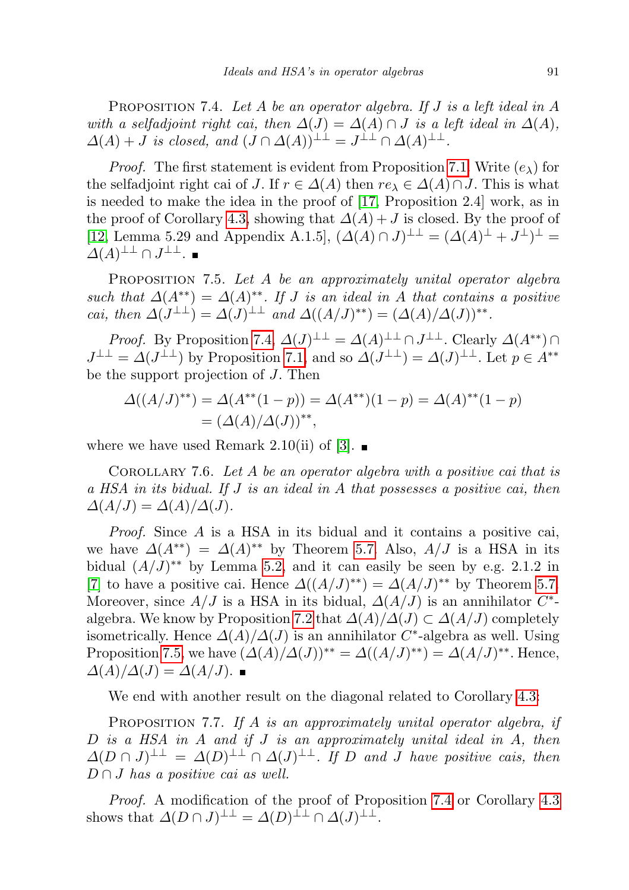PROPOSITION 7.4. Let A be an operator algebra. If  $J$  is a left ideal in  $A$ with a selfadjoint right cai, then  $\Delta(J) = \Delta(A) \cap J$  is a left ideal in  $\Delta(A)$ ,  $\Delta(A) + J$  is closed, and  $(J \cap \Delta(A))^{\perp \perp} = J^{\perp \perp} \cap \Delta(A)^{\perp \perp}$ .

*Proof.* The first statement is evident from Proposition [7.1.](#page-24-0) Write  $(e_{\lambda})$  for the selfadjoint right cai of J. If  $r \in \Delta(A)$  then  $re_{\lambda} \in \Delta(A) \cap J$ . This is what is needed to make the idea in the proof of [\[17,](#page-27-8) Proposition 2.4] work, as in the proof of Corollary [4.3,](#page-8-1) showing that  $\Delta(A) + J$  is closed. By the proof of [\[12,](#page-27-12) Lemma 5.29 and Appendix A.1.5],  $(\Delta(A) \cap J)^{\perp \perp} = (\Delta(A)^{\perp} + J^{\perp})^{\perp} =$  $\varDelta(A)^{\perp\perp}\cap J^{\perp\perp}.$ 

<span id="page-26-0"></span>PROPOSITION 7.5. Let A be an approximately unital operator algebra such that  $\Delta(A^{**}) = \Delta(A)^{**}$ . If J is an ideal in A that contains a positive cai, then  $\Delta(J^{\perp\perp}) = \Delta(J)^{\perp\perp}$  and  $\Delta((A/J)^{**}) = (\Delta(A)/\Delta(J))^{**}.$ 

*Proof.* By Proposition [7.4,](#page-25-0)  $\Delta(J)^{\perp\perp} = \Delta(A)^{\perp\perp} \cap J^{\perp\perp}$ . Clearly  $\Delta(A^{**}) \cap$  $J^{\perp \perp} = \Delta(J^{\perp \perp})$  by Proposition [7.1,](#page-24-0) and so  $\Delta(J^{\perp \perp}) = \Delta(J)^{\perp \perp}$ . Let  $p \in A^{**}$ be the support projection of J. Then

$$
\Delta((A/J)^{**}) = \Delta(A^{**}(1-p)) = \Delta(A^{**})(1-p) = \Delta(A)^{**}(1-p)
$$
  
=  $(\Delta(A)/\Delta(J))^{**}$ ,

where we have used Remark 2.10(ii) of [\[3\]](#page-27-2).  $\blacksquare$ 

COROLLARY 7.6. Let  $A$  be an operator algebra with a positive cai that is a HSA in its bidual. If J is an ideal in A that possesses a positive cai, then  $\Delta(A/J) = \Delta(A)/\Delta(J).$ 

Proof. Since A is a HSA in its bidual and it contains a positive cai, we have  $\Delta(A^{**}) = \Delta(A)^{**}$  by Theorem [5.7.](#page-11-1) Also,  $A/J$  is a HSA in its bidual  $(A/J)^{**}$  by Lemma [5.2,](#page-9-1) and it can easily be seen by e.g. 2.1.2 in [\[7\]](#page-27-1) to have a positive cai. Hence  $\Delta((A/J)^{**}) = \Delta(A/J)^{**}$  by Theorem [5.7.](#page-11-1) Moreover, since  $A/J$  is a HSA in its bidual,  $\Delta(A/J)$  is an annihilator  $C^*$ -algebra. We know by Proposition [7.2](#page-25-1) that  $\Delta(A)/\Delta(J) \subset \Delta(A/J)$  completely isometrically. Hence  $\Delta(A)/\Delta(J)$  is an annihilator C<sup>\*</sup>-algebra as well. Using Proposition [7.5,](#page-26-0) we have  $(\Delta(A)/\Delta(J))^{**} = \Delta((A/J)^{**}) = \Delta(A/J)^{**}$ . Hence,  $\Delta(A)/\Delta(J) = \Delta(A/J)$ .

We end with another result on the diagonal related to Corollary [4.3:](#page-8-1)

PROPOSITION 7.7. If A is an approximately unital operator algebra, if D is a HSA in A and if J is an approximately unital ideal in A, then  $\Delta(D \cap J)^{\perp \perp} = \Delta(D)^{\perp \perp} \cap \Delta(J)^{\perp \perp}$ . If D and J have positive cais, then  $D \cap J$  has a positive cai as well.

Proof. A modification of the proof of Proposition [7.4](#page-25-0) or Corollary [4.3](#page-8-1) shows that  $\Delta(D \cap J)^{\perp \perp} = \Delta(D)^{\perp \perp} \cap \Delta(J)^{\perp \perp}$ .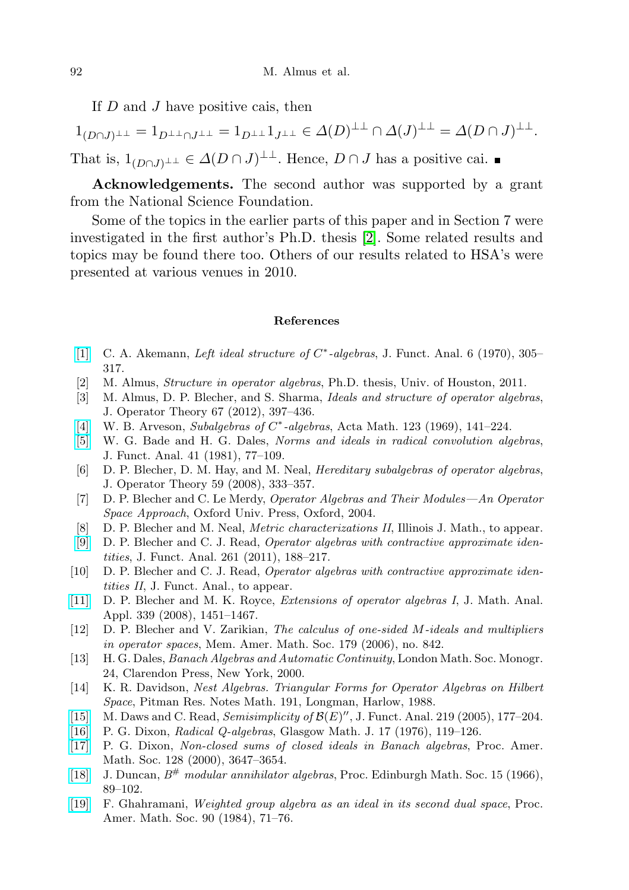If  $D$  and  $J$  have positive cais, then

 $1_{(D\cap J)^{\perp \perp}} = 1_{D^{\perp \perp} \cap J^{\perp \perp}} = 1_{D^{\perp \perp}} 1_{J^{\perp \perp}} \in \Delta(D)^{\perp \perp} \cap \Delta(J)^{\perp \perp} = \Delta(D \cap J)^{\perp \perp}.$ That is,  $1_{(D \cap J)^{\perp \perp}} \in \Delta(D \cap J)^{\perp \perp}$ . Hence,  $D \cap J$  has a positive cai.

Acknowledgements. The second author was supported by a grant from the National Science Foundation.

Some of the topics in the earlier parts of this paper and in Section 7 were investigated in the first author's Ph.D. thesis [\[2\]](#page-27-18). Some related results and topics may be found there too. Others of our results related to HSA's were presented at various venues in 2010.

## References

- <span id="page-27-6"></span>[\[1\]](http://dx.doi.org/10.1016/0022-1236(70)90063-7) C. A. Akemann, Left ideal structure of C<sup>\*</sup>-algebras, J. Funct. Anal. 6 (1970), 305-317.
- <span id="page-27-18"></span>[2] M. Almus, Structure in operator algebras, Ph.D. thesis, Univ. of Houston, 2011.
- <span id="page-27-2"></span>[3] M. Almus, D. P. Blecher, and S. Sharma, Ideals and structure of operator algebras, J. Operator Theory 67 (2012), 397–436.
- <span id="page-27-0"></span>[\[4\]](http://dx.doi.org/10.1007/BF02392388) W. B. Arveson, Subalgebras of C\*-algebras, Acta Math. 123 (1969), 141-224.
- <span id="page-27-17"></span>[\[5\]](http://dx.doi.org/10.1016/0022-1236(81)90062-8) W. G. Bade and H. G. Dales, Norms and ideals in radical convolution algebras, J. Funct. Anal. 41 (1981), 77–109.
- <span id="page-27-4"></span>[6] D. P. Blecher, D. M. Hay, and M. Neal, Hereditary subalgebras of operator algebras, J. Operator Theory 59 (2008), 333–357.
- <span id="page-27-1"></span>[7] D. P. Blecher and C. Le Merdy, Operator Algebras and Their Modules—An Operator Space Approach, Oxford Univ. Press, Oxford, 2004.
- <span id="page-27-15"></span>[8] D. P. Blecher and M. Neal, Metric characterizations II, Illinois J. Math., to appear.
- <span id="page-27-5"></span>[\[9\]](http://dx.doi.org/10.1016/j.jfa.2011.02.019) D. P. Blecher and C. J. Read, Operator algebras with contractive approximate identities, J. Funct. Anal. 261 (2011), 188–217.
- <span id="page-27-7"></span>[10] D. P. Blecher and C. J. Read, Operator algebras with contractive approximate identities II, J. Funct. Anal., to appear.
- <span id="page-27-9"></span>[\[11\]](http://dx.doi.org/10.1016/j.jmaa.2007.07.065) D. P. Blecher and M. K. Royce, Extensions of operator algebras I, J. Math. Anal. Appl. 339 (2008), 1451–1467.
- <span id="page-27-12"></span>[12] D. P. Blecher and V. Zarikian, The calculus of one-sided M-ideals and multipliers in operator spaces, Mem. Amer. Math. Soc. 179 (2006), no. 842.
- <span id="page-27-11"></span>[13] H. G. Dales, Banach Algebras and Automatic Continuity, London Math. Soc. Monogr. 24, Clarendon Press, New York, 2000.
- <span id="page-27-16"></span>[14] K. R. Davidson, Nest Algebras. Triangular Forms for Operator Algebras on Hilbert Space, Pitman Res. Notes Math. 191, Longman, Harlow, 1988.
- <span id="page-27-10"></span>[\[15\]](http://dx.doi.org/10.1016/j.jfa.2004.04.014) M. Daws and C. Read, Semisimplicity of  $\mathcal{B}(E)'$ , J. Funct. Anal. 219 (2005), 177-204.
- <span id="page-27-13"></span>[\[16\]](http://dx.doi.org/10.1017/S0017089500002834) P. G. Dixon, Radical Q-algebras, Glasgow Math. J. 17 (1976), 119–126.
- <span id="page-27-8"></span>[\[17\]](http://dx.doi.org/10.1090/S0002-9939-00-05700-2) P. G. Dixon, Non-closed sums of closed ideals in Banach algebras, Proc. Amer. Math. Soc. 128 (2000), 3647–3654.
- <span id="page-27-14"></span>[\[18\]](http://dx.doi.org/10.1017/S001309150001138X) J. Duncan,  $B^{\#}$  modular annihilator algebras, Proc. Edinburgh Math. Soc. 15 (1966), 89–102.
- <span id="page-27-3"></span>[\[19\]](http://dx.doi.org/10.1090/S0002-9939-1984-0722417-9) F. Ghahramani, Weighted group algebra as an ideal in its second dual space, Proc. Amer. Math. Soc. 90 (1984), 71–76.